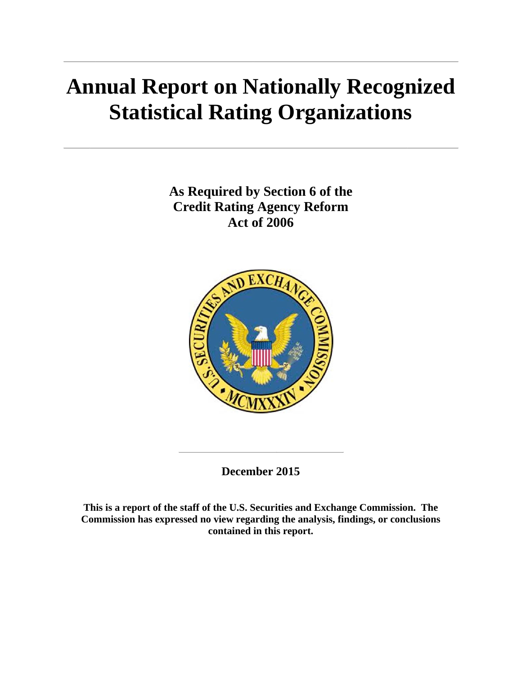# **Annual Report on Nationally Recognized Statistical Rating Organizations**

**As Required by Section 6 of the Credit Rating Agency Reform Act of 2006** 



**December 2015** 

**This is a report of the staff of the U.S. Securities and Exchange Commission. The Commission has expressed no view regarding the analysis, findings, or conclusions contained in this report.**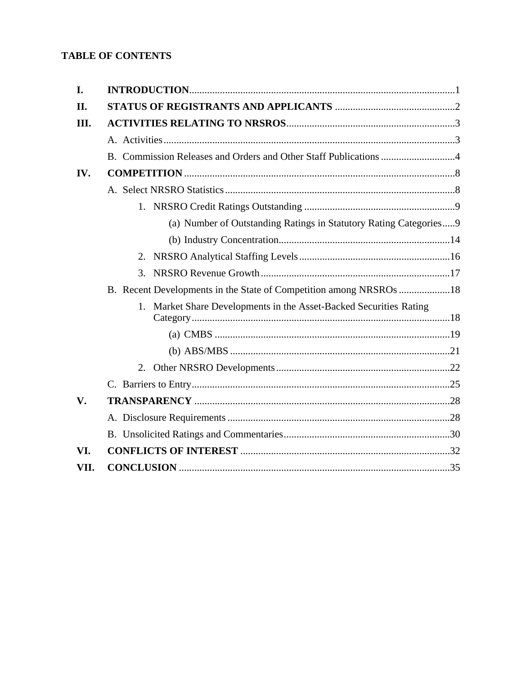# **TABLE OF CONTENTS**

| I.   |                                                                    |
|------|--------------------------------------------------------------------|
| II.  |                                                                    |
| Ш.   |                                                                    |
|      |                                                                    |
|      | B. Commission Releases and Orders and Other Staff Publications 4   |
| IV.  |                                                                    |
|      |                                                                    |
|      |                                                                    |
|      | (a) Number of Outstanding Ratings in Statutory Rating Categories 9 |
|      |                                                                    |
|      |                                                                    |
|      |                                                                    |
|      | B. Recent Developments in the State of Competition among NRSROs 18 |
|      | 1. Market Share Developments in the Asset-Backed Securities Rating |
|      |                                                                    |
|      |                                                                    |
|      |                                                                    |
|      |                                                                    |
| V.   |                                                                    |
|      |                                                                    |
|      |                                                                    |
| VI.  |                                                                    |
| VII. |                                                                    |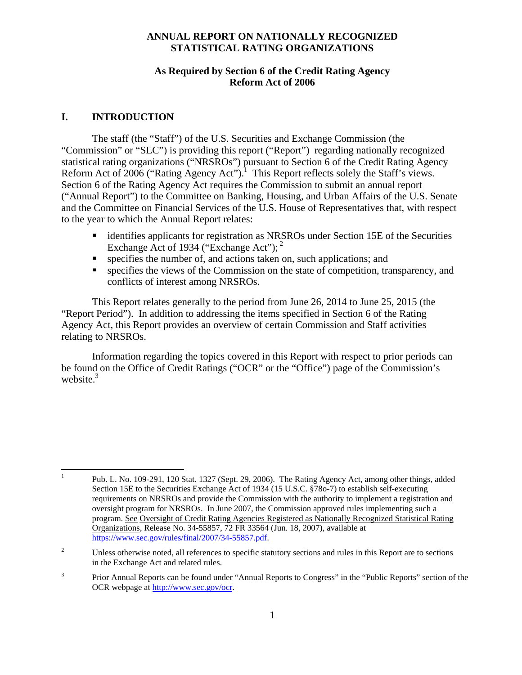#### **ANNUAL REPORT ON NATIONALLY RECOGNIZED STATISTICAL RATING ORGANIZATIONS**

#### **As Required by Section 6 of the Credit Rating Agency Reform Act of 2006**

### **I. INTRODUCTION**

 The staff (the "Staff") of the U.S. Securities and Exchange Commission (the "Commission" or "SEC") is providing this report ("Report") regarding nationally recognized statistical rating organizations ("NRSROs") pursuant to Section 6 of the Credit Rating Agency Reform Act of 2006 ("Rating Agency Act").<sup>1</sup> This Report reflects solely the Staff's views. Section 6 of the Rating Agency Act requires the Commission to submit an annual report ("Annual Report") to the Committee on Banking, Housing, and Urban Affairs of the U.S. Senate and the Committee on Financial Services of the U.S. House of Representatives that, with respect to the year to which the Annual Report relates:

- identifies applicants for registration as NRSROs under Section 15E of the Securities Exchange Act of 1934 ("Exchange Act");  $2^2$
- $\blacksquare$  specifies the number of, and actions taken on, such applications; and
- specifies the views of the Commission on the state of competition, transparency, and conflicts of interest among NRSROs.

 This Report relates generally to the period from June 26, 2014 to June 25, 2015 (the "Report Period"). In addition to addressing the items specified in Section 6 of the Rating Agency Act, this Report provides an overview of certain Commission and Staff activities relating to NRSROs.

 Information regarding the topics covered in this Report with respect to prior periods can be found on the Office of Credit Ratings ("OCR" or the "Office") page of the Commission's website. $3$ 

 $\frac{1}{1}$  Pub. L. No. 109-291, 120 Stat. 1327 (Sept. 29, 2006). The Rating Agency Act, among other things, added Section 15E to the Securities Exchange Act of 1934 (15 U.S.C. §78o-7) to establish self-executing requirements on NRSROs and provide the Commission with the authority to implement a registration and oversight program for NRSROs. In June 2007, the Commission approved rules implementing such a program. See Oversight of Credit Rating Agencies Registered as Nationally Recognized Statistical Rating Organizations, Release No. 34-55857, 72 FR 33564 (Jun. 18, 2007), available at https://www.sec.gov/rules/final/2007/34-55857.pdf.

<sup>2</sup> Unless otherwise noted, all references to specific statutory sections and rules in this Report are to sections in the Exchange Act and related rules.

<sup>3</sup> Prior Annual Reports can be found under "Annual Reports to Congress" in the "Public Reports" section of the OCR webpage at http://www.sec.gov/ocr.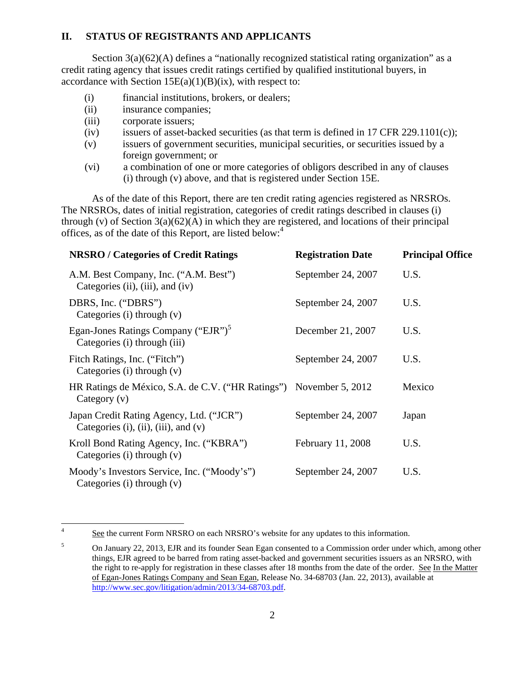#### **II. STATUS OF REGISTRANTS AND APPLICANTS**

Section  $3(a)(62)(A)$  defines a "nationally recognized statistical rating organization" as a credit rating agency that issues credit ratings certified by qualified institutional buyers, in accordance with Section  $15E(a)(1)(B)(ix)$ , with respect to:

- (i) financial institutions, brokers, or dealers;
- (ii) insurance companies;
- (iii) corporate issuers;
- (iv) issuers of asset-backed securities (as that term is defined in 17 CFR 229.1101 $(c)$ );
- (v) issuers of government securities, municipal securities, or securities issued by a foreign government; or
- (vi) a combination of one or more categories of obligors described in any of clauses (i) through (v) above, and that is registered under Section 15E.

As of the date of this Report, there are ten credit rating agencies registered as NRSROs. The NRSROs, dates of initial registration, categories of credit ratings described in clauses (i) through (v) of Section  $3(a)(62)(A)$  in which they are registered, and locations of their principal offices, as of the date of this Report, are listed below:<sup>4</sup>

| <b>NRSRO</b> / Categories of Credit Ratings                                                 | <b>Registration Date</b> | <b>Principal Office</b> |
|---------------------------------------------------------------------------------------------|--------------------------|-------------------------|
| A.M. Best Company, Inc. ("A.M. Best")<br>Categories (ii), (iii), and (iv)                   | September 24, 2007       | U.S.                    |
| DBRS, Inc. ("DBRS")<br>Categories (i) through $(v)$                                         | September 24, 2007       | U.S.                    |
| Egan-Jones Ratings Company ("EJR") <sup>5</sup><br>Categories (i) through (iii)             | December 21, 2007        | U.S.                    |
| Fitch Ratings, Inc. ("Fitch")<br>Categories (i) through $(v)$                               | September 24, 2007       | U.S.                    |
| HR Ratings de México, S.A. de C.V. ("HR Ratings") November 5, 2012<br>Category $(v)$        |                          | Mexico                  |
| Japan Credit Rating Agency, Ltd. ("JCR")<br>Categories $(i)$ , $(ii)$ , $(iii)$ , and $(v)$ | September 24, 2007       | Japan                   |
| Kroll Bond Rating Agency, Inc. ("KBRA")<br>Categories $(i)$ through $(v)$                   | February 11, 2008        | U.S.                    |
| Moody's Investors Service, Inc. ("Moody's")<br>Categories $(i)$ through $(v)$               | September 24, 2007       | U.S.                    |

 $\frac{1}{4}$ See the current Form NRSRO on each NRSRO's website for any updates to this information.

<sup>5</sup> On January 22, 2013, EJR and its founder Sean Egan consented to a Commission order under which, among other things, EJR agreed to be barred from rating asset-backed and government securities issuers as an NRSRO, with the right to re-apply for registration in these classes after 18 months from the date of the order. See In the Matter of Egan-Jones Ratings Company and Sean Egan, Release No. 34-68703 (Jan. 22, 2013), available at http://www.sec.gov/litigation/admin/2013/34-68703.pdf.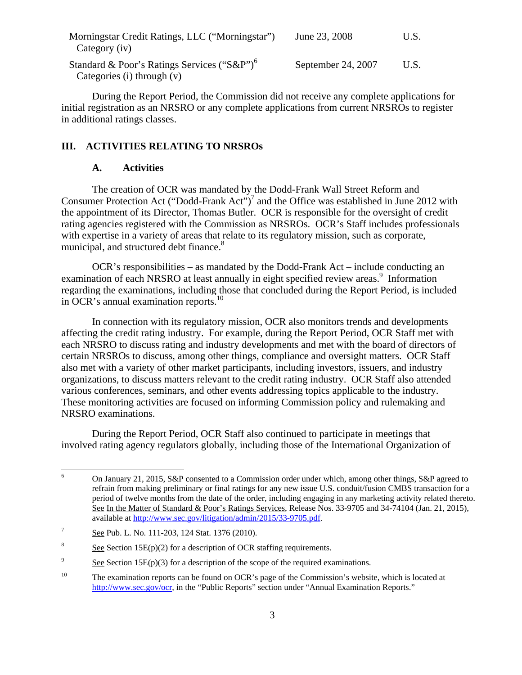| Morningstar Credit Ratings, LLC ("Morningstar")                          | June 23, 2008      | U.S. |
|--------------------------------------------------------------------------|--------------------|------|
| Category (iv)<br>Standard & Poor's Ratings Services ("S&P") <sup>6</sup> | September 24, 2007 | U.S. |
| Categories (i) through $(v)$                                             |                    |      |

During the Report Period, the Commission did not receive any complete applications for initial registration as an NRSRO or any complete applications from current NRSROs to register in additional ratings classes.

#### **III. ACTIVITIES RELATING TO NRSROs**

#### **A. Activities**

The creation of OCR was mandated by the Dodd-Frank Wall Street Reform and Consumer Protection Act ("Dodd-Frank Act")<sup>7</sup> and the Office was established in June 2012 with the appointment of its Director, Thomas Butler. OCR is responsible for the oversight of credit rating agencies registered with the Commission as NRSROs. OCR's Staff includes professionals with expertise in a variety of areas that relate to its regulatory mission, such as corporate, municipal, and structured debt finance.<sup>8</sup>

OCR's responsibilities – as mandated by the Dodd-Frank Act – include conducting an examination of each NRSRO at least annually in eight specified review areas.<sup>9</sup> Information regarding the examinations, including those that concluded during the Report Period, is included in OCR's annual examination reports.<sup>10</sup>

In connection with its regulatory mission, OCR also monitors trends and developments affecting the credit rating industry. For example, during the Report Period, OCR Staff met with each NRSRO to discuss rating and industry developments and met with the board of directors of certain NRSROs to discuss, among other things, compliance and oversight matters. OCR Staff also met with a variety of other market participants, including investors, issuers, and industry organizations, to discuss matters relevant to the credit rating industry. OCR Staff also attended various conferences, seminars, and other events addressing topics applicable to the industry. These monitoring activities are focused on informing Commission policy and rulemaking and NRSRO examinations.

During the Report Period, OCR Staff also continued to participate in meetings that involved rating agency regulators globally, including those of the International Organization of

 $\frac{1}{6}$  On January 21, 2015, S&P consented to a Commission order under which, among other things, S&P agreed to refrain from making preliminary or final ratings for any new issue U.S. conduit/fusion CMBS transaction for a period of twelve months from the date of the order, including engaging in any marketing activity related thereto. See In the Matter of Standard & Poor's Ratings Services, Release Nos. 33-9705 and 34-74104 (Jan. 21, 2015), available at http://www.sec.gov/litigation/admin/2015/33-9705.pdf.

<sup>7</sup> See Pub. L. No. 111-203, 124 Stat. 1376 (2010).

<sup>8</sup> See Section 15E(p)(2) for a description of OCR staffing requirements.

<sup>9</sup> See Section  $15E(p)(3)$  for a description of the scope of the required examinations.

<sup>&</sup>lt;sup>10</sup> The examination reports can be found on OCR's page of the Commission's website, which is located at http://www.sec.gov/ocr, in the "Public Reports" section under "Annual Examination Reports."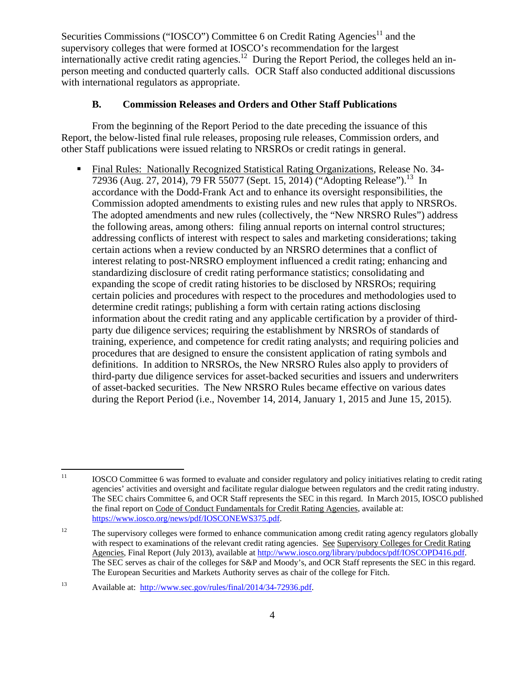Securities Commissions ("IOSCO") Committee 6 on Credit Rating Agencies<sup>11</sup> and the supervisory colleges that were formed at IOSCO's recommendation for the largest internationally active credit rating agencies.<sup>12</sup> During the Report Period, the colleges held an inperson meeting and conducted quarterly calls. OCR Staff also conducted additional discussions with international regulators as appropriate.

#### **B. Commission Releases and Orders and Other Staff Publications**

From the beginning of the Report Period to the date preceding the issuance of this Report, the below-listed final rule releases, proposing rule releases, Commission orders, and other Staff publications were issued relating to NRSROs or credit ratings in general.

 Final Rules: Nationally Recognized Statistical Rating Organizations, Release No. 34- 72936 (Aug. 27, 2014), 79 FR 55077 (Sept. 15, 2014) ("Adopting Release").<sup>13</sup> In accordance with the Dodd-Frank Act and to enhance its oversight responsibilities, the Commission adopted amendments to existing rules and new rules that apply to NRSROs. The adopted amendments and new rules (collectively, the "New NRSRO Rules") address the following areas, among others: filing annual reports on internal control structures; addressing conflicts of interest with respect to sales and marketing considerations; taking certain actions when a review conducted by an NRSRO determines that a conflict of interest relating to post-NRSRO employment influenced a credit rating; enhancing and standardizing disclosure of credit rating performance statistics; consolidating and expanding the scope of credit rating histories to be disclosed by NRSROs; requiring certain policies and procedures with respect to the procedures and methodologies used to determine credit ratings; publishing a form with certain rating actions disclosing information about the credit rating and any applicable certification by a provider of thirdparty due diligence services; requiring the establishment by NRSROs of standards of training, experience, and competence for credit rating analysts; and requiring policies and procedures that are designed to ensure the consistent application of rating symbols and definitions. In addition to NRSROs, the New NRSRO Rules also apply to providers of third-party due diligence services for asset-backed securities and issuers and underwriters of asset-backed securities. The New NRSRO Rules became effective on various dates during the Report Period (i.e., November 14, 2014, January 1, 2015 and June 15, 2015).

 $11$ 11 IOSCO Committee 6 was formed to evaluate and consider regulatory and policy initiatives relating to credit rating agencies' activities and oversight and facilitate regular dialogue between regulators and the credit rating industry. The SEC chairs Committee 6, and OCR Staff represents the SEC in this regard. In March 2015, IOSCO published the final report on Code of Conduct Fundamentals for Credit Rating Agencies, available at: https://www.iosco.org/news/pdf/IOSCONEWS375.pdf.

<sup>&</sup>lt;sup>12</sup> The supervisory colleges were formed to enhance communication among credit rating agency regulators globally with respect to examinations of the relevant credit rating agencies. See Supervisory Colleges for Credit Rating Agencies, Final Report (July 2013), available at http://www.iosco.org/library/pubdocs/pdf/IOSCOPD416.pdf. The SEC serves as chair of the colleges for S&P and Moody's, and OCR Staff represents the SEC in this regard. The European Securities and Markets Authority serves as chair of the college for Fitch.

<sup>13</sup> Available at: http://www.sec.gov/rules/final/2014/34-72936.pdf.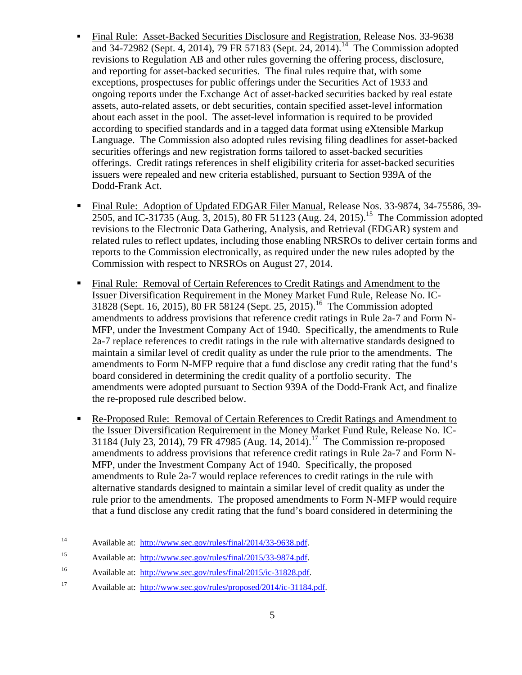- Final Rule: Asset-Backed Securities Disclosure and Registration, Release Nos. 33-9638 and 34-72982 (Sept. 4, 2014), 79 FR 57183 (Sept. 24, 2014).<sup>14</sup> The Commission adopted revisions to Regulation AB and other rules governing the offering process, disclosure, and reporting for asset-backed securities. The final rules require that, with some exceptions, prospectuses for public offerings under the Securities Act of 1933 and ongoing reports under the Exchange Act of asset-backed securities backed by real estate assets, auto-related assets, or debt securities, contain specified asset-level information about each asset in the pool. The asset-level information is required to be provided according to specified standards and in a tagged data format using eXtensible Markup Language. The Commission also adopted rules revising filing deadlines for asset-backed securities offerings and new registration forms tailored to asset-backed securities offerings. Credit ratings references in shelf eligibility criteria for asset-backed securities issuers were repealed and new criteria established, pursuant to Section 939A of the Dodd-Frank Act.
- Final Rule: Adoption of Updated EDGAR Filer Manual, Release Nos. 33-9874, 34-75586, 39- 2505, and IC-31735 (Aug. 3, 2015), 80 FR 51123 (Aug. 24, 2015).<sup>15</sup> The Commission adopted revisions to the Electronic Data Gathering, Analysis, and Retrieval (EDGAR) system and related rules to reflect updates, including those enabling NRSROs to deliver certain forms and reports to the Commission electronically, as required under the new rules adopted by the Commission with respect to NRSROs on August 27, 2014.
- Final Rule: Removal of Certain References to Credit Ratings and Amendment to the Issuer Diversification Requirement in the Money Market Fund Rule, Release No. IC-31828 (Sept. 16, 2015), 80 FR 58124 (Sept. 25, 2015).<sup>16</sup> The Commission adopted amendments to address provisions that reference credit ratings in Rule 2a-7 and Form N-MFP, under the Investment Company Act of 1940. Specifically, the amendments to Rule 2a-7 replace references to credit ratings in the rule with alternative standards designed to maintain a similar level of credit quality as under the rule prior to the amendments. The amendments to Form N-MFP require that a fund disclose any credit rating that the fund's board considered in determining the credit quality of a portfolio security. The amendments were adopted pursuant to Section 939A of the Dodd-Frank Act, and finalize the re-proposed rule described below.
- Re-Proposed Rule: Removal of Certain References to Credit Ratings and Amendment to the Issuer Diversification Requirement in the Money Market Fund Rule, Release No. IC- $31184$  (July 23, 2014), 79 FR 47985 (Aug. 14, 2014).<sup>17</sup> The Commission re-proposed amendments to address provisions that reference credit ratings in Rule 2a-7 and Form N-MFP, under the Investment Company Act of 1940. Specifically, the proposed amendments to Rule 2a-7 would replace references to credit ratings in the rule with alternative standards designed to maintain a similar level of credit quality as under the rule prior to the amendments. The proposed amendments to Form N-MFP would require that a fund disclose any credit rating that the fund's board considered in determining the

 $14$ Available at: http://www.sec.gov/rules/final/2014/33-9638.pdf.

<sup>15</sup> Available at: http://www.sec.gov/rules/final/2015/33-9874.pdf.

<sup>16</sup> Available at: http://www.sec.gov/rules/final/2015/ic-31828.pdf.

<sup>17</sup> Available at: http://www.sec.gov/rules/proposed/2014/ic-31184.pdf.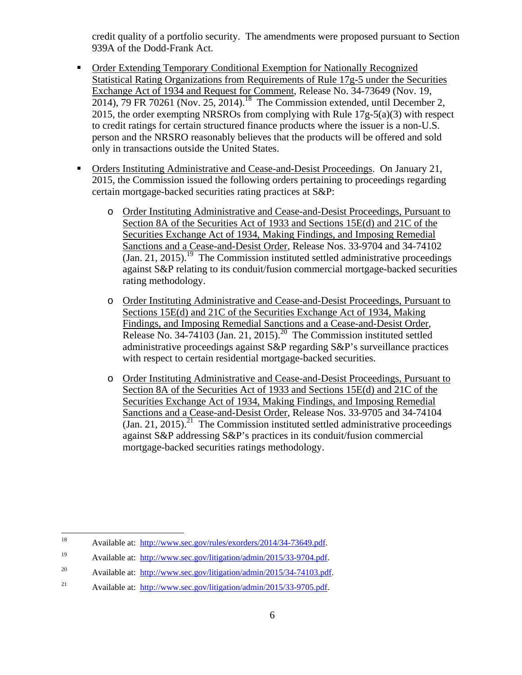credit quality of a portfolio security. The amendments were proposed pursuant to Section 939A of the Dodd-Frank Act.

- Order Extending Temporary Conditional Exemption for Nationally Recognized Statistical Rating Organizations from Requirements of Rule 17g-5 under the Securities Exchange Act of 1934 and Request for Comment, Release No. 34-73649 (Nov. 19,  $2014$ ), 79 FR 70261 (Nov. 25, 2014).<sup>18</sup> The Commission extended, until December 2, 2015, the order exempting NRSROs from complying with Rule 17g-5(a)(3) with respect to credit ratings for certain structured finance products where the issuer is a non-U.S. person and the NRSRO reasonably believes that the products will be offered and sold only in transactions outside the United States.
- Orders Instituting Administrative and Cease-and-Desist Proceedings. On January 21, 2015, the Commission issued the following orders pertaining to proceedings regarding certain mortgage-backed securities rating practices at S&P:
	- o Order Instituting Administrative and Cease-and-Desist Proceedings, Pursuant to Section 8A of the Securities Act of 1933 and Sections 15E(d) and 21C of the Securities Exchange Act of 1934, Making Findings, and Imposing Remedial Sanctions and a Cease-and-Desist Order, Release Nos. 33-9704 and 34-74102 (Jan. 21, 2015).<sup>19</sup> The Commission instituted settled administrative proceedings against S&P relating to its conduit/fusion commercial mortgage-backed securities rating methodology.
	- o Order Instituting Administrative and Cease-and-Desist Proceedings, Pursuant to Sections 15E(d) and 21C of the Securities Exchange Act of 1934, Making Findings, and Imposing Remedial Sanctions and a Cease-and-Desist Order, Release No. 34-74103 (Jan. 21, 2015).<sup>20</sup> The Commission instituted settled administrative proceedings against S&P regarding S&P's surveillance practices with respect to certain residential mortgage-backed securities.
	- o Order Instituting Administrative and Cease-and-Desist Proceedings, Pursuant to Section 8A of the Securities Act of 1933 and Sections 15E(d) and 21C of the Securities Exchange Act of 1934, Making Findings, and Imposing Remedial Sanctions and a Cease-and-Desist Order, Release Nos. 33-9705 and 34-74104 (Jan. 21, 2015).<sup>21</sup> The Commission instituted settled administrative proceedings against S&P addressing S&P's practices in its conduit/fusion commercial mortgage-backed securities ratings methodology.

 $18\,$ Available at: http://www.sec.gov/rules/exorders/2014/34-73649.pdf.

<sup>19</sup> Available at: http://www.sec.gov/litigation/admin/2015/33-9704.pdf.

<sup>&</sup>lt;sup>20</sup> Available at: http://www.sec.gov/litigation/admin/2015/34-74103.pdf.

<sup>&</sup>lt;sup>21</sup> Available at: http://www.sec.gov/litigation/admin/2015/33-9705.pdf.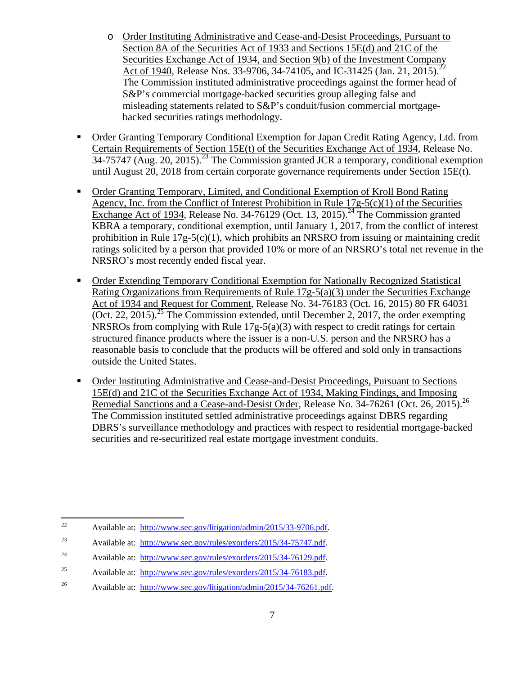- o Order Instituting Administrative and Cease-and-Desist Proceedings, Pursuant to Section 8A of the Securities Act of 1933 and Sections 15E(d) and 21C of the Securities Exchange Act of 1934, and Section 9(b) of the Investment Company Act of 1940, Release Nos. 33-9706, 34-74105, and IC-31425 (Jan. 21, 2015).<sup>22</sup> The Commission instituted administrative proceedings against the former head of S&P's commercial mortgage-backed securities group alleging false and misleading statements related to S&P's conduit/fusion commercial mortgagebacked securities ratings methodology.
- **Order Granting Temporary Conditional Exemption for Japan Credit Rating Agency, Ltd. from** Certain Requirements of Section 15E(t) of the Securities Exchange Act of 1934, Release No.  $34-75747$  (Aug. 20, 2015).<sup>23</sup> The Commission granted JCR a temporary, conditional exemption until August 20, 2018 from certain corporate governance requirements under Section 15E(t).
- Order Granting Temporary, Limited, and Conditional Exemption of Kroll Bond Rating Agency, Inc. from the Conflict of Interest Prohibition in Rule 17g-5(c)(1) of the Securities Exchange Act of 1934, Release No. 34-76129 (Oct. 13, 2015).<sup>24</sup> The Commission granted KBRA a temporary, conditional exemption, until January 1, 2017, from the conflict of interest prohibition in Rule  $17g-5(c)(1)$ , which prohibits an NRSRO from issuing or maintaining credit ratings solicited by a person that provided 10% or more of an NRSRO's total net revenue in the NRSRO's most recently ended fiscal year.
- Order Extending Temporary Conditional Exemption for Nationally Recognized Statistical Rating Organizations from Requirements of Rule 17g-5(a)(3) under the Securities Exchange Act of 1934 and Request for Comment, Release No. 34-76183 (Oct. 16, 2015) 80 FR 64031 (Oct. 22, 2015).<sup>25</sup> The Commission extended, until December 2, 2017, the order exempting NRSROs from complying with Rule 17g-5(a)(3) with respect to credit ratings for certain structured finance products where the issuer is a non-U.S. person and the NRSRO has a reasonable basis to conclude that the products will be offered and sold only in transactions outside the United States.
- Order Instituting Administrative and Cease-and-Desist Proceedings, Pursuant to Sections 15E(d) and 21C of the Securities Exchange Act of 1934, Making Findings, and Imposing Remedial Sanctions and a Cease-and-Desist Order, Release No. 34-76261 (Oct. 26, 2015).<sup>26</sup> The Commission instituted settled administrative proceedings against DBRS regarding DBRS's surveillance methodology and practices with respect to residential mortgage-backed securities and re-securitized real estate mortgage investment conduits.

 $22$ 22 Available at: http://www.sec.gov/litigation/admin/2015/33-9706.pdf.

<sup>23</sup> Available at: http://www.sec.gov/rules/exorders/2015/34-75747.pdf.

<sup>&</sup>lt;sup>24</sup> Available at: http://www.sec.gov/rules/exorders/2015/34-76129.pdf.

<sup>&</sup>lt;sup>25</sup> Available at: http://www.sec.gov/rules/exorders/2015/34-76183.pdf.

<sup>26</sup> Available at: http://www.sec.gov/litigation/admin/2015/34-76261.pdf.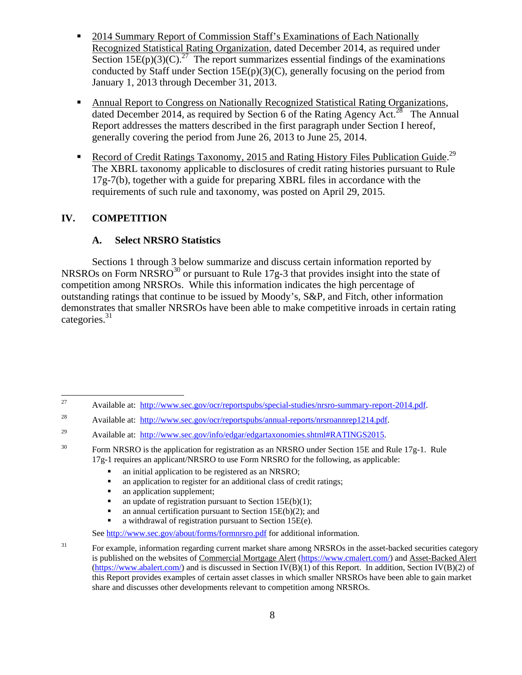- 2014 Summary Report of Commission Staff's Examinations of Each Nationally Recognized Statistical Rating Organization, dated December 2014, as required under Section  $15E(p)(3)(C)$ <sup>27</sup> The report summarizes essential findings of the examinations conducted by Staff under Section 15 $E(p)(3)(C)$ , generally focusing on the period from January 1, 2013 through December 31, 2013.
- Annual Report to Congress on Nationally Recognized Statistical Rating Organizations, dated December 2014, as required by Section 6 of the Rating Agency Act.<sup>28</sup> The Annual Report addresses the matters described in the first paragraph under Section I hereof, generally covering the period from June 26, 2013 to June 25, 2014.
- Record of Credit Ratings Taxonomy, 2015 and Rating History Files Publication Guide.<sup>29</sup> The XBRL taxonomy applicable to disclosures of credit rating histories pursuant to Rule 17g-7(b), together with a guide for preparing XBRL files in accordance with the requirements of such rule and taxonomy, was posted on April 29, 2015.

#### **IV. COMPETITION**

#### **A. Select NRSRO Statistics**

 Sections 1 through 3 below summarize and discuss certain information reported by NRSROs on Form NRSRO<sup>30</sup> or pursuant to Rule 17g-3 that provides insight into the state of competition among NRSROs. While this information indicates the high percentage of outstanding ratings that continue to be issued by Moody's, S&P, and Fitch, other information demonstrates that smaller NRSROs have been able to make competitive inroads in certain rating categories.<sup>31</sup>

- an initial application to be registered as an NRSRO;
- an application to register for an additional class of credit ratings;<br>• an application supplement:
- an application supplement;
- an update of registration pursuant to Section 15 $E(b)(1)$ ;
- an annual certification pursuant to Section 15E(b)(2); and
- a withdrawal of registration pursuant to Section 15E(e).

<sup>27</sup> 27 Available at: http://www.sec.gov/ocr/reportspubs/special-studies/nrsro-summary-report-2014.pdf.

<sup>&</sup>lt;sup>28</sup> Available at: http://www.sec.gov/ocr/reportspubs/annual-reports/nrsroannrep1214.pdf.

<sup>&</sup>lt;sup>29</sup> Available at: http://www.sec.gov/info/edgar/edgartaxonomies.shtml#RATINGS2015.

<sup>&</sup>lt;sup>30</sup> Form NRSRO is the application for registration as an NRSRO under Section 15E and Rule 17g-1. Rule 17g-1 requires an applicant/NRSRO to use Form NRSRO for the following, as applicable:

See http://www.sec.gov/about/forms/formnrsro.pdf for additional information.

<sup>&</sup>lt;sup>31</sup> For example, information regarding current market share among NRSROs in the asset-backed securities category is published on the websites of Commercial Mortgage Alert (https://www.cmalert.com/) and Asset-Backed Alert (https://www.abalert.com/) and is discussed in Section IV(B)(1) of this Report. In addition, Section IV(B)(2) of this Report provides examples of certain asset classes in which smaller NRSROs have been able to gain market share and discusses other developments relevant to competition among NRSROs.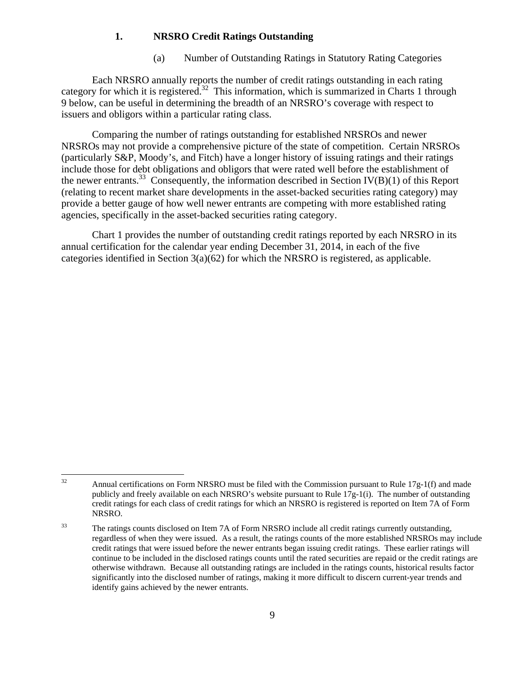#### **1. NRSRO Credit Ratings Outstanding**

(a) Number of Outstanding Ratings in Statutory Rating Categories

 Each NRSRO annually reports the number of credit ratings outstanding in each rating category for which it is registered.<sup>32</sup> This information, which is summarized in Charts 1 through 9 below, can be useful in determining the breadth of an NRSRO's coverage with respect to issuers and obligors within a particular rating class.

Comparing the number of ratings outstanding for established NRSROs and newer NRSROs may not provide a comprehensive picture of the state of competition. Certain NRSROs (particularly S&P, Moody's, and Fitch) have a longer history of issuing ratings and their ratings include those for debt obligations and obligors that were rated well before the establishment of the newer entrants.<sup>33</sup> Consequently, the information described in Section IV(B)(1) of this Report (relating to recent market share developments in the asset-backed securities rating category) may provide a better gauge of how well newer entrants are competing with more established rating agencies, specifically in the asset-backed securities rating category.

Chart 1 provides the number of outstanding credit ratings reported by each NRSRO in its annual certification for the calendar year ending December 31, 2014, in each of the five categories identified in Section 3(a)(62) for which the NRSRO is registered, as applicable.

<sup>32</sup> Annual certifications on Form NRSRO must be filed with the Commission pursuant to Rule  $17g-1(f)$  and made publicly and freely available on each NRSRO's website pursuant to Rule  $17g-1(i)$ . The number of outstanding credit ratings for each class of credit ratings for which an NRSRO is registered is reported on Item 7A of Form NRSRO.

<sup>&</sup>lt;sup>33</sup> The ratings counts disclosed on Item 7A of Form NRSRO include all credit ratings currently outstanding, regardless of when they were issued. As a result, the ratings counts of the more established NRSROs may include credit ratings that were issued before the newer entrants began issuing credit ratings. These earlier ratings will continue to be included in the disclosed ratings counts until the rated securities are repaid or the credit ratings are otherwise withdrawn. Because all outstanding ratings are included in the ratings counts, historical results factor significantly into the disclosed number of ratings, making it more difficult to discern current-year trends and identify gains achieved by the newer entrants.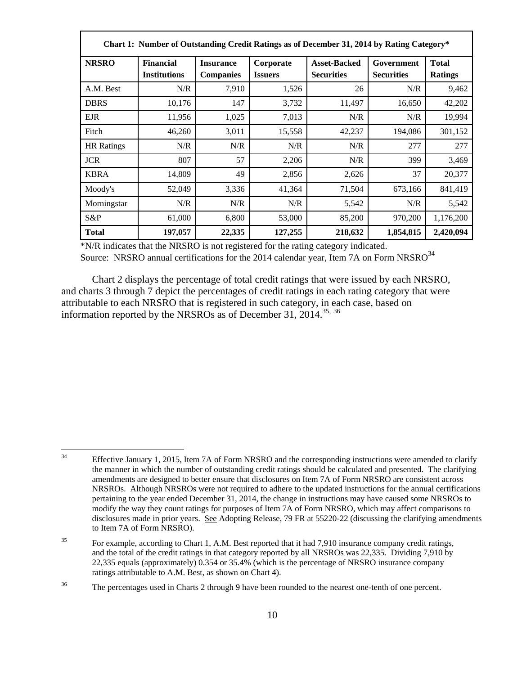| Chart 1: Number of Outstanding Credit Ratings as of December 31, 2014 by Rating Category* |                                         |                                      |                             |                                          |                                 |                                |  |  |  |  |  |
|-------------------------------------------------------------------------------------------|-----------------------------------------|--------------------------------------|-----------------------------|------------------------------------------|---------------------------------|--------------------------------|--|--|--|--|--|
| <b>NRSRO</b>                                                                              | <b>Financial</b><br><b>Institutions</b> | <b>Insurance</b><br><b>Companies</b> | Corporate<br><b>Issuers</b> | <b>Asset-Backed</b><br><b>Securities</b> | Government<br><b>Securities</b> | <b>Total</b><br><b>Ratings</b> |  |  |  |  |  |
| A.M. Best                                                                                 | N/R                                     | 7,910                                | 1,526                       | 26                                       | N/R                             | 9,462                          |  |  |  |  |  |
| <b>DBRS</b>                                                                               | 10,176                                  | 147                                  | 3,732                       | 11,497                                   | 16,650                          | 42,202                         |  |  |  |  |  |
| <b>EJR</b>                                                                                | 11,956                                  | 1,025                                | 7,013                       | N/R                                      | N/R                             | 19,994                         |  |  |  |  |  |
| Fitch                                                                                     | 46,260                                  | 3,011                                | 15,558                      | 42,237                                   | 194,086                         | 301,152                        |  |  |  |  |  |
| <b>HR</b> Ratings                                                                         | N/R                                     | N/R                                  | N/R                         | N/R                                      | 277                             | 277                            |  |  |  |  |  |
| <b>JCR</b>                                                                                | 807                                     | 57                                   | 2,206                       | N/R                                      | 399                             | 3,469                          |  |  |  |  |  |
| <b>KBRA</b>                                                                               | 14,809                                  | 49                                   | 2,856                       | 2,626                                    | 37                              | 20,377                         |  |  |  |  |  |
| Moody's                                                                                   | 52,049                                  | 3,336                                | 41,364                      | 71,504                                   | 673,166                         | 841,419                        |  |  |  |  |  |
| Morningstar                                                                               | N/R                                     | N/R                                  | N/R                         | 5,542                                    | N/R                             | 5,542                          |  |  |  |  |  |
| S&P                                                                                       | 61,000                                  | 6,800                                | 53,000                      | 85,200                                   | 970,200                         | 1,176,200                      |  |  |  |  |  |
| <b>Total</b>                                                                              | 197,057                                 | 22,335                               | 127,255                     | 218,632                                  | 1,854,815                       | 2,420,094                      |  |  |  |  |  |

\*N/R indicates that the NRSRO is not registered for the rating category indicated. Source: NRSRO annual certifications for the 2014 calendar year, Item 7A on Form NRSRO<sup>34</sup>

Chart 2 displays the percentage of total credit ratings that were issued by each NRSRO, and charts 3 through 7 depict the percentages of credit ratings in each rating category that were attributable to each NRSRO that is registered in such category, in each case, based on information reported by the NRSROs as of December 31, 2014.<sup>35, 36</sup>

 $34$ Effective January 1, 2015, Item 7A of Form NRSRO and the corresponding instructions were amended to clarify the manner in which the number of outstanding credit ratings should be calculated and presented. The clarifying amendments are designed to better ensure that disclosures on Item 7A of Form NRSRO are consistent across NRSROs. Although NRSROs were not required to adhere to the updated instructions for the annual certifications pertaining to the year ended December 31, 2014, the change in instructions may have caused some NRSROs to modify the way they count ratings for purposes of Item 7A of Form NRSRO, which may affect comparisons to disclosures made in prior years. See Adopting Release, 79 FR at 55220-22 (discussing the clarifying amendments to Item 7A of Form NRSRO).

<sup>&</sup>lt;sup>35</sup> For example, according to Chart 1, A.M. Best reported that it had 7,910 insurance company credit ratings, and the total of the credit ratings in that category reported by all NRSROs was 22,335. Dividing 7,910 by 22,335 equals (approximately) 0.354 or 35.4% (which is the percentage of NRSRO insurance company ratings attributable to A.M. Best, as shown on Chart 4).

<sup>&</sup>lt;sup>36</sup> The percentages used in Charts 2 through 9 have been rounded to the nearest one-tenth of one percent.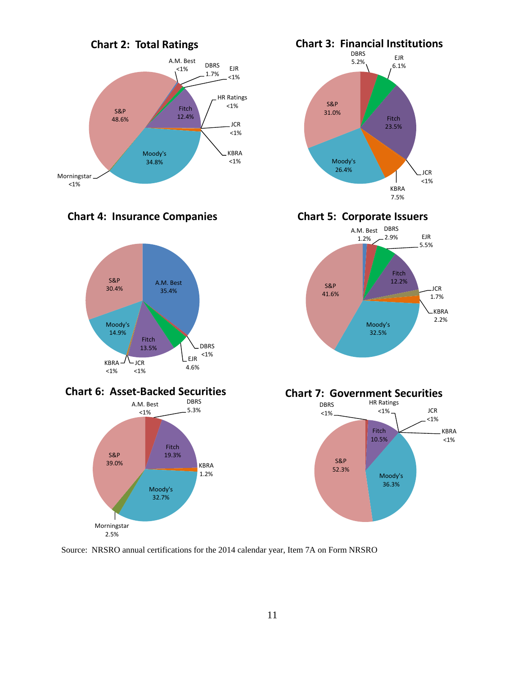

# **Chart 4: Insurance Companies**









**Chart 5: Corporate Issuers**







Source: NRSRO annual certifications for the 2014 calendar year, Item 7A on Form NRSRO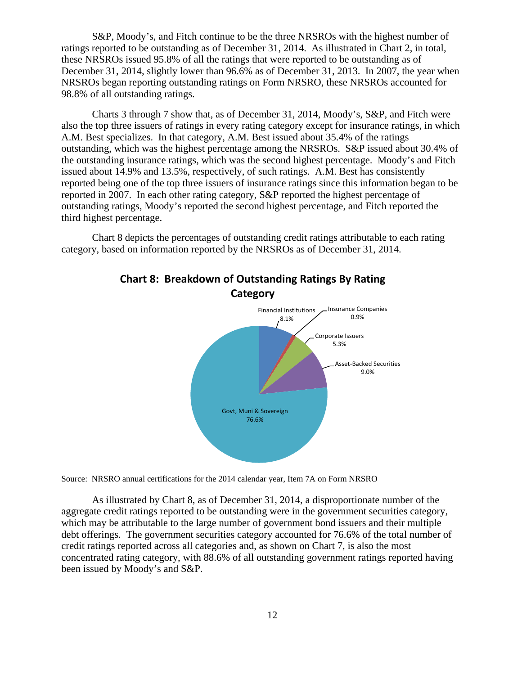S&P, Moody's, and Fitch continue to be the three NRSROs with the highest number of ratings reported to be outstanding as of December 31, 2014. As illustrated in Chart 2, in total, these NRSROs issued 95.8% of all the ratings that were reported to be outstanding as of December 31, 2014, slightly lower than 96.6% as of December 31, 2013. In 2007, the year when NRSROs began reporting outstanding ratings on Form NRSRO, these NRSROs accounted for 98.8% of all outstanding ratings.

Charts 3 through 7 show that, as of December 31, 2014, Moody's, S&P, and Fitch were also the top three issuers of ratings in every rating category except for insurance ratings, in which A.M. Best specializes. In that category, A.M. Best issued about 35.4% of the ratings outstanding, which was the highest percentage among the NRSROs. S&P issued about 30.4% of the outstanding insurance ratings, which was the second highest percentage. Moody's and Fitch issued about 14.9% and 13.5%, respectively, of such ratings. A.M. Best has consistently reported being one of the top three issuers of insurance ratings since this information began to be reported in 2007. In each other rating category, S&P reported the highest percentage of outstanding ratings, Moody's reported the second highest percentage, and Fitch reported the third highest percentage.

Chart 8 depicts the percentages of outstanding credit ratings attributable to each rating category, based on information reported by the NRSROs as of December 31, 2014.



# **Chart 8: Breakdown of Outstanding Ratings By Rating**

Source: NRSRO annual certifications for the 2014 calendar year, Item 7A on Form NRSRO

As illustrated by Chart 8, as of December 31, 2014, a disproportionate number of the aggregate credit ratings reported to be outstanding were in the government securities category, which may be attributable to the large number of government bond issuers and their multiple debt offerings. The government securities category accounted for 76.6% of the total number of credit ratings reported across all categories and, as shown on Chart 7, is also the most concentrated rating category, with 88.6% of all outstanding government ratings reported having been issued by Moody's and S&P.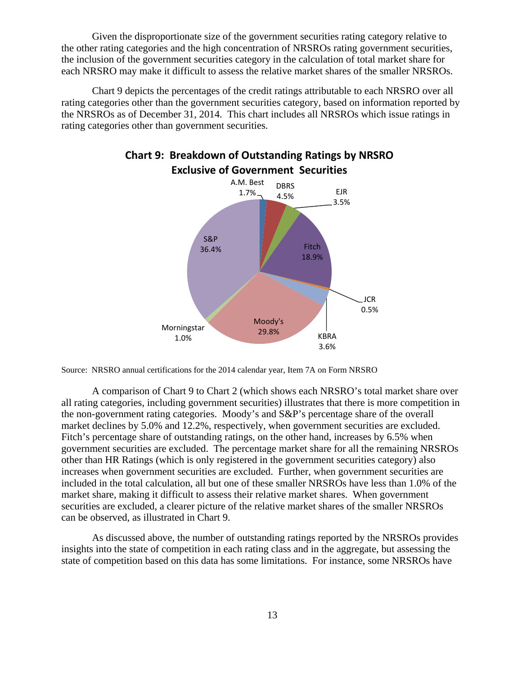Given the disproportionate size of the government securities rating category relative to the other rating categories and the high concentration of NRSROs rating government securities, the inclusion of the government securities category in the calculation of total market share for each NRSRO may make it difficult to assess the relative market shares of the smaller NRSROs.

Chart 9 depicts the percentages of the credit ratings attributable to each NRSRO over all rating categories other than the government securities category, based on information reported by the NRSROs as of December 31, 2014. This chart includes all NRSROs which issue ratings in rating categories other than government securities.



**Chart 9: Breakdown of Outstanding Ratings by NRSRO Exclusive of Government Securities**

Source: NRSRO annual certifications for the 2014 calendar year, Item 7A on Form NRSRO

A comparison of Chart 9 to Chart 2 (which shows each NRSRO's total market share over all rating categories, including government securities) illustrates that there is more competition in the non-government rating categories. Moody's and S&P's percentage share of the overall market declines by 5.0% and 12.2%, respectively, when government securities are excluded. Fitch's percentage share of outstanding ratings, on the other hand, increases by 6.5% when government securities are excluded. The percentage market share for all the remaining NRSROs other than HR Ratings (which is only registered in the government securities category) also increases when government securities are excluded. Further, when government securities are included in the total calculation, all but one of these smaller NRSROs have less than 1.0% of the market share, making it difficult to assess their relative market shares. When government securities are excluded, a clearer picture of the relative market shares of the smaller NRSROs can be observed, as illustrated in Chart 9.

As discussed above, the number of outstanding ratings reported by the NRSROs provides insights into the state of competition in each rating class and in the aggregate, but assessing the state of competition based on this data has some limitations. For instance, some NRSROs have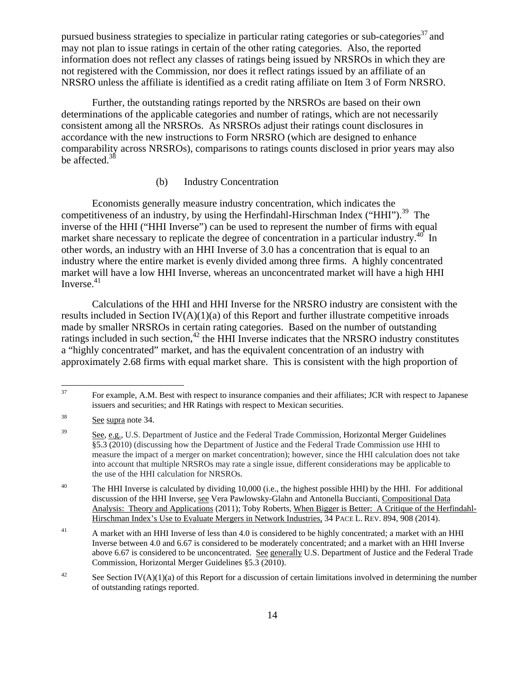pursued business strategies to specialize in particular rating categories or sub-categories<sup>37</sup> and may not plan to issue ratings in certain of the other rating categories. Also, the reported information does not reflect any classes of ratings being issued by NRSROs in which they are not registered with the Commission, nor does it reflect ratings issued by an affiliate of an NRSRO unless the affiliate is identified as a credit rating affiliate on Item 3 of Form NRSRO.

Further, the outstanding ratings reported by the NRSROs are based on their own determinations of the applicable categories and number of ratings, which are not necessarily consistent among all the NRSROs. As NRSROs adjust their ratings count disclosures in accordance with the new instructions to Form NRSRO (which are designed to enhance comparability across NRSROs), comparisons to ratings counts disclosed in prior years may also be affected.<sup>38</sup>

#### (b) Industry Concentration

Economists generally measure industry concentration, which indicates the competitiveness of an industry, by using the Herfindahl-Hirschman Index ("HHI").<sup>39</sup> The inverse of the HHI ("HHI Inverse") can be used to represent the number of firms with equal market share necessary to replicate the degree of concentration in a particular industry.<sup>40</sup> In other words, an industry with an HHI Inverse of 3.0 has a concentration that is equal to an industry where the entire market is evenly divided among three firms. A highly concentrated market will have a low HHI Inverse, whereas an unconcentrated market will have a high HHI Inverse. $41$ 

Calculations of the HHI and HHI Inverse for the NRSRO industry are consistent with the results included in Section  $IV(A)(1)(a)$  of this Report and further illustrate competitive inroads made by smaller NRSROs in certain rating categories. Based on the number of outstanding ratings included in such section, $42$  the HHI Inverse indicates that the NRSRO industry constitutes a "highly concentrated" market, and has the equivalent concentration of an industry with approximately 2.68 firms with equal market share. This is consistent with the high proportion of

 $37\,$ 37 For example, A.M. Best with respect to insurance companies and their affiliates; JCR with respect to Japanese issuers and securities; and HR Ratings with respect to Mexican securities.

<sup>&</sup>lt;sup>38</sup> See supra note 34.

<sup>&</sup>lt;sup>39</sup> See, e.g., U.S. Department of Justice and the Federal Trade Commission, Horizontal Merger Guidelines §5.3 (2010) (discussing how the Department of Justice and the Federal Trade Commission use HHI to measure the impact of a merger on market concentration); however, since the HHI calculation does not take into account that multiple NRSROs may rate a single issue, different considerations may be applicable to the use of the HHI calculation for NRSROs.

<sup>&</sup>lt;sup>40</sup> The HHI Inverse is calculated by dividing 10,000 (i.e., the highest possible HHI) by the HHI. For additional discussion of the HHI Inverse, see Vera Pawlowsky-Glahn and Antonella Buccianti, Compositional Data Analysis: Theory and Applications (2011); Toby Roberts, When Bigger is Better: A Critique of the Herfindahl-Hirschman Index's Use to Evaluate Mergers in Network Industries, 34 PACE L. REV. 894, 908 (2014).

<sup>&</sup>lt;sup>41</sup> A market with an HHI Inverse of less than 4.0 is considered to be highly concentrated; a market with an HHI Inverse between 4.0 and 6.67 is considered to be moderately concentrated; and a market with an HHI Inverse above 6.67 is considered to be unconcentrated. See generally U.S. Department of Justice and the Federal Trade Commission, Horizontal Merger Guidelines §5.3 (2010).

<sup>&</sup>lt;sup>42</sup> See Section IV(A)(1)(a) of this Report for a discussion of certain limitations involved in determining the number of outstanding ratings reported.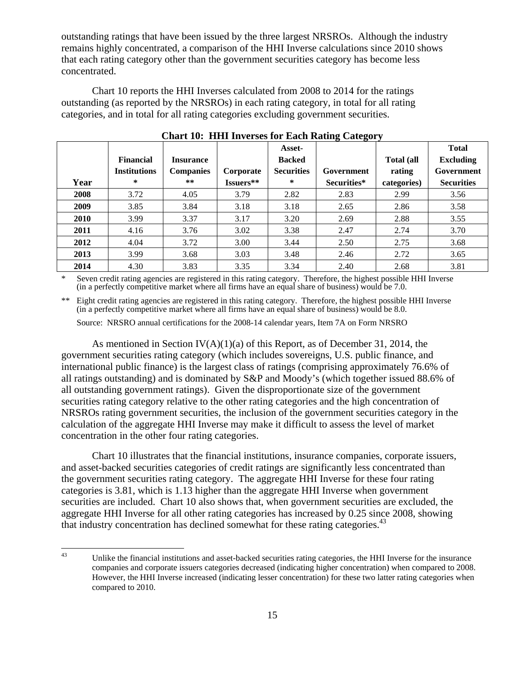outstanding ratings that have been issued by the three largest NRSROs. Although the industry remains highly concentrated, a comparison of the HHI Inverse calculations since 2010 shows that each rating category other than the government securities category has become less concentrated.

 Chart 10 reports the HHI Inverses calculated from 2008 to 2014 for the ratings outstanding (as reported by the NRSROs) in each rating category, in total for all rating categories, and in total for all rating categories excluding government securities.

|             | <b>Financial</b>    | <b>Insurance</b> |           | Asset-<br><b>Backed</b> | $\sim$ $\sim$ | <b>Total</b> (all | <b>Total</b><br><b>Excluding</b> |
|-------------|---------------------|------------------|-----------|-------------------------|---------------|-------------------|----------------------------------|
|             | <b>Institutions</b> | <b>Companies</b> | Corporate | <b>Securities</b>       | Government    | rating            | Government                       |
| Year        | ∗                   | $***$            | Issuers** | $\ast$                  | Securities*   | categories)       | <b>Securities</b>                |
| 2008        | 3.72                | 4.05             | 3.79      | 2.82                    | 2.83          | 2.99              | 3.56                             |
| 2009        | 3.85                | 3.84             | 3.18      | 3.18                    | 2.65          | 2.86              | 3.58                             |
| <b>2010</b> | 3.99                | 3.37             | 3.17      | 3.20                    | 2.69          | 2.88              | 3.55                             |
| 2011        | 4.16                | 3.76             | 3.02      | 3.38                    | 2.47          | 2.74              | 3.70                             |
| 2012        | 4.04                | 3.72             | 3.00      | 3.44                    | 2.50          | 2.75              | 3.68                             |
| 2013        | 3.99                | 3.68             | 3.03      | 3.48                    | 2.46          | 2.72              | 3.65                             |
| 2014        | 4.30                | 3.83             | 3.35      | 3.34                    | 2.40          | 2.68              | 3.81                             |

**Chart 10: HHI Inverses for Each Rating Category** 

Seven credit rating agencies are registered in this rating category. Therefore, the highest possible HHI Inverse (in a perfectly competitive market where all firms have an equal share of business) would be 7.0.

\*\* Eight credit rating agencies are registered in this rating category. Therefore, the highest possible HHI Inverse (in a perfectly competitive market where all firms have an equal share of business) would be 8.0.

Source: NRSRO annual certifications for the 2008-14 calendar years, Item 7A on Form NRSRO

As mentioned in Section IV(A)(1)(a) of this Report, as of December 31, 2014, the government securities rating category (which includes sovereigns, U.S. public finance, and international public finance) is the largest class of ratings (comprising approximately 76.6% of all ratings outstanding) and is dominated by S&P and Moody's (which together issued 88.6% of all outstanding government ratings). Given the disproportionate size of the government securities rating category relative to the other rating categories and the high concentration of NRSROs rating government securities, the inclusion of the government securities category in the calculation of the aggregate HHI Inverse may make it difficult to assess the level of market concentration in the other four rating categories.

Chart 10 illustrates that the financial institutions, insurance companies, corporate issuers, and asset-backed securities categories of credit ratings are significantly less concentrated than the government securities rating category. The aggregate HHI Inverse for these four rating categories is 3.81, which is 1.13 higher than the aggregate HHI Inverse when government securities are included. Chart 10 also shows that, when government securities are excluded, the aggregate HHI Inverse for all other rating categories has increased by 0.25 since 2008, showing that industry concentration has declined somewhat for these rating categories.<sup>43</sup>

 $43$ Unlike the financial institutions and asset-backed securities rating categories, the HHI Inverse for the insurance companies and corporate issuers categories decreased (indicating higher concentration) when compared to 2008. However, the HHI Inverse increased (indicating lesser concentration) for these two latter rating categories when compared to 2010.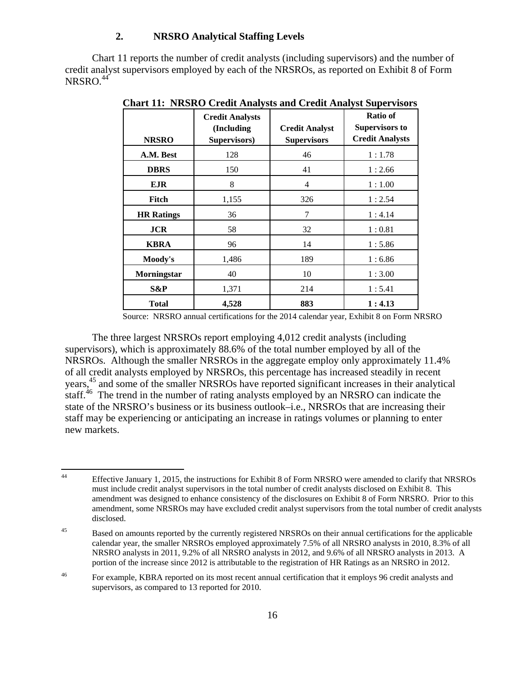#### **2. NRSRO Analytical Staffing Levels**

Chart 11 reports the number of credit analysts (including supervisors) and the number of credit analyst supervisors employed by each of the NRSROs, as reported on Exhibit 8 of Form  $NRSRO<sup>44</sup>$ 

|                   | <b>Credit Analysts</b><br>(Including | <b>Credit Analyst</b> | Ratio of<br><b>Supervisors to</b> |
|-------------------|--------------------------------------|-----------------------|-----------------------------------|
| <b>NRSRO</b>      | Supervisors)                         | <b>Supervisors</b>    | <b>Credit Analysts</b>            |
| A.M. Best         | 128                                  | 46                    | 1:1.78                            |
| <b>DBRS</b>       | 150                                  | 41                    | 1:2.66                            |
| <b>EJR</b>        | 8                                    | 4                     | 1:1.00                            |
| Fitch             | 1,155                                | 326                   | 1:2.54                            |
| <b>HR</b> Ratings | 36                                   | 7                     | 1:4.14                            |
| <b>JCR</b>        | 58                                   | 32                    | 1:0.81                            |
| <b>KBRA</b>       | 96                                   | 14                    | 1:5.86                            |
| Moody's           | 1,486                                | 189                   | 1:6.86                            |
| Morningstar       | 40                                   | 10                    | 1:3.00                            |
| S&P               | 1,371                                | 214                   | 1:5.41                            |
| Total             | 4,528                                | 883                   | 1:4.13                            |

**Chart 11: NRSRO Credit Analysts and Credit Analyst Supervisors** 

Source: NRSRO annual certifications for the 2014 calendar year, Exhibit 8 on Form NRSRO

The three largest NRSROs report employing 4,012 credit analysts (including supervisors), which is approximately 88.6% of the total number employed by all of the NRSROs. Although the smaller NRSROs in the aggregate employ only approximately 11.4% of all credit analysts employed by NRSROs, this percentage has increased steadily in recent years,45 and some of the smaller NRSROs have reported significant increases in their analytical staff.<sup>46</sup> The trend in the number of rating analysts employed by an NRSRO can indicate the state of the NRSRO's business or its business outlook–i.e., NRSROs that are increasing their staff may be experiencing or anticipating an increase in ratings volumes or planning to enter new markets.

 $44$ 44 Effective January 1, 2015, the instructions for Exhibit 8 of Form NRSRO were amended to clarify that NRSROs must include credit analyst supervisors in the total number of credit analysts disclosed on Exhibit 8. This amendment was designed to enhance consistency of the disclosures on Exhibit 8 of Form NRSRO. Prior to this amendment, some NRSROs may have excluded credit analyst supervisors from the total number of credit analysts disclosed.

<sup>&</sup>lt;sup>45</sup> Based on amounts reported by the currently registered NRSROs on their annual certifications for the applicable calendar year, the smaller NRSROs employed approximately 7.5% of all NRSRO analysts in 2010, 8.3% of all NRSRO analysts in 2011, 9.2% of all NRSRO analysts in 2012, and 9.6% of all NRSRO analysts in 2013. A portion of the increase since 2012 is attributable to the registration of HR Ratings as an NRSRO in 2012.

<sup>46</sup> For example, KBRA reported on its most recent annual certification that it employs 96 credit analysts and supervisors, as compared to 13 reported for 2010.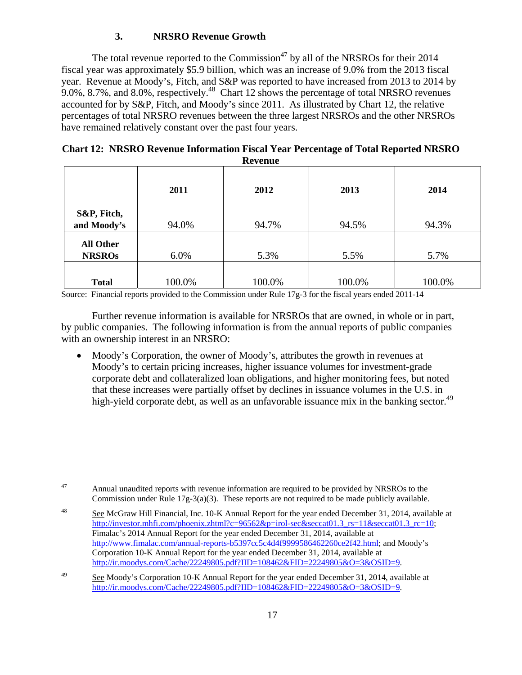## **3. NRSRO Revenue Growth**

The total revenue reported to the Commission<sup>47</sup> by all of the NRSROs for their 2014 fiscal year was approximately \$5.9 billion, which was an increase of 9.0% from the 2013 fiscal year. Revenue at Moody's, Fitch, and S&P was reported to have increased from 2013 to 2014 by 9.0%, 8.7%, and 8.0%, respectively.<sup>48</sup> Chart 12 shows the percentage of total NRSRO revenues accounted for by S&P, Fitch, and Moody's since 2011. As illustrated by Chart 12, the relative percentages of total NRSRO revenues between the three largest NRSROs and the other NRSROs have remained relatively constant over the past four years.

| <b>Chart 12: NRSRO Revenue Information Fiscal Year Percentage of Total Reported NRSRO</b> |
|-------------------------------------------------------------------------------------------|
| <b>Revenue</b>                                                                            |

|                  | 2011   | 2012   | 2013   | 2014   |
|------------------|--------|--------|--------|--------|
|                  |        |        |        |        |
| S&P, Fitch,      |        |        |        |        |
| and Moody's      | 94.0%  | 94.7%  | 94.5%  | 94.3%  |
|                  |        |        |        |        |
| <b>All Other</b> |        |        |        |        |
| <b>NRSROs</b>    | 6.0%   | 5.3%   | 5.5%   | 5.7%   |
|                  |        |        |        |        |
| <b>Total</b>     | 100.0% | 100.0% | 100.0% | 100.0% |

Source: Financial reports provided to the Commission under Rule 17g-3 for the fiscal years ended 2011-14

Further revenue information is available for NRSROs that are owned, in whole or in part, by public companies. The following information is from the annual reports of public companies with an ownership interest in an NRSRO:

 Moody's Corporation, the owner of Moody's, attributes the growth in revenues at Moody's to certain pricing increases, higher issuance volumes for investment-grade corporate debt and collateralized loan obligations, and higher monitoring fees, but noted that these increases were partially offset by declines in issuance volumes in the U.S. in high-yield corporate debt, as well as an unfavorable issuance mix in the banking sector.<sup>49</sup>

<sup>47</sup> 47 Annual unaudited reports with revenue information are required to be provided by NRSROs to the Commission under Rule 17g-3(a)(3). These reports are not required to be made publicly available.

<sup>&</sup>lt;sup>48</sup> See McGraw Hill Financial, Inc. 10-K Annual Report for the year ended December 31, 2014, available at http://investor.mhfi.com/phoenix.zhtml?c=96562&p=irol-sec&seccat01.3\_rs=11&seccat01.3\_rc=10; Fimalac's 2014 Annual Report for the year ended December 31, 2014, available at http://www.fimalac.com/annual-reports-b5397cc5c4d4f9999586462260ce2f42.html; and Moody's Corporation 10-K Annual Report for the year ended December 31, 2014, available at http://ir.moodys.com/Cache/22249805.pdf?IID=108462&FID=22249805&O=3&OSID=9.

<sup>&</sup>lt;sup>49</sup> See Moody's Corporation 10-K Annual Report for the year ended December 31, 2014, available at http://ir.moodys.com/Cache/22249805.pdf?IID=108462&FID=22249805&O=3&OSID=9.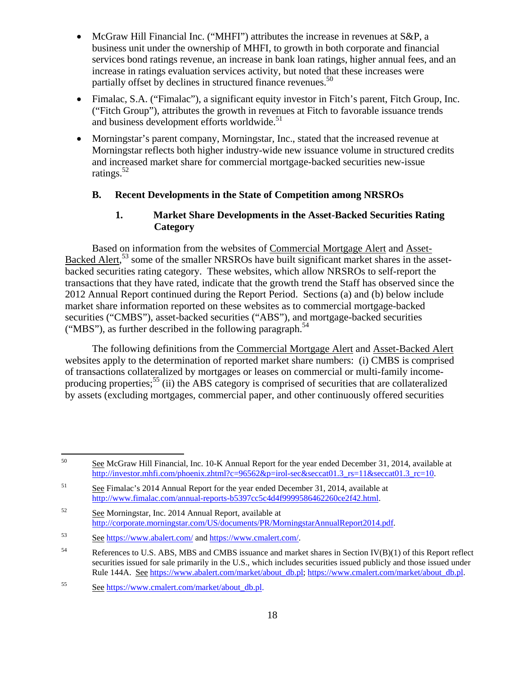- McGraw Hill Financial Inc. ("MHFI") attributes the increase in revenues at S&P, a business unit under the ownership of MHFI, to growth in both corporate and financial services bond ratings revenue, an increase in bank loan ratings, higher annual fees, and an increase in ratings evaluation services activity, but noted that these increases were partially offset by declines in structured finance revenues.<sup>50</sup>
- Fimalac, S.A. ("Fimalac"), a significant equity investor in Fitch's parent, Fitch Group, Inc. ("Fitch Group"), attributes the growth in revenues at Fitch to favorable issuance trends and business development efforts worldwide.<sup>51</sup>
- Morningstar's parent company, Morningstar, Inc., stated that the increased revenue at Morningstar reflects both higher industry-wide new issuance volume in structured credits and increased market share for commercial mortgage-backed securities new-issue ratings.52

#### **B. Recent Developments in the State of Competition among NRSROs**

#### **1. Market Share Developments in the Asset-Backed Securities Rating Category**

 Based on information from the websites of Commercial Mortgage Alert and Asset-Backed Alert,<sup>53</sup> some of the smaller NRSROs have built significant market shares in the assetbacked securities rating category. These websites, which allow NRSROs to self-report the transactions that they have rated, indicate that the growth trend the Staff has observed since the 2012 Annual Report continued during the Report Period. Sections (a) and (b) below include market share information reported on these websites as to commercial mortgage-backed securities ("CMBS"), asset-backed securities ("ABS"), and mortgage-backed securities ("MBS"), as further described in the following paragraph.<sup>54</sup>

 The following definitions from the Commercial Mortgage Alert and Asset-Backed Alert websites apply to the determination of reported market share numbers: (i) CMBS is comprised of transactions collateralized by mortgages or leases on commercial or multi-family incomeproducing properties;<sup>55</sup> (ii) the ABS category is comprised of securities that are collateralized by assets (excluding mortgages, commercial paper, and other continuously offered securities

 $50\,$ See McGraw Hill Financial, Inc. 10-K Annual Report for the year ended December 31, 2014, available at http://investor.mhfi.com/phoenix.zhtml?c=96562&p=irol-sec&seccat01.3\_rs=11&seccat01.3\_rc=10.

<sup>51</sup> See Fimalac's 2014 Annual Report for the year ended December 31, 2014, available at http://www.fimalac.com/annual-reports-b5397cc5c4d4f9999586462260ce2f42.html.

<sup>52</sup> See Morningstar, Inc. 2014 Annual Report, available at http://corporate.morningstar.com/US/documents/PR/MorningstarAnnualReport2014.pdf.

<sup>53</sup> See https://www.abalert.com/ and https://www.cmalert.com/.

<sup>&</sup>lt;sup>54</sup> References to U.S. ABS, MBS and CMBS issuance and market shares in Section IV(B)(1) of this Report reflect securities issued for sale primarily in the U.S., which includes securities issued publicly and those issued under Rule 144A. See https://www.abalert.com/market/about\_db.pl; https://www.cmalert.com/market/about\_db.pl.

<sup>55</sup> See https://www.cmalert.com/market/about\_db.pl.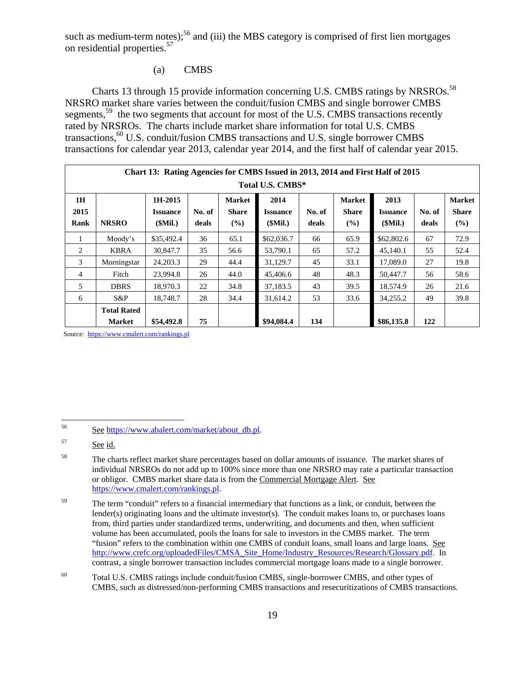such as medium-term notes);<sup>56</sup> and (iii) the MBS category is comprised of first lien mortgages on residential properties.57

#### (a) CMBS

Charts 13 through 15 provide information concerning U.S. CMBS ratings by NRSROs.<sup>58</sup> NRSRO market share varies between the conduit/fusion CMBS and single borrower CMBS segments,<sup>59</sup> the two segments that account for most of the U.S. CMBS transactions recently rated by NRSROs. The charts include market share information for total U.S. CMBS transactions,<sup>60</sup> U.S. conduit/fusion CMBS transactions and U.S. single borrower CMBS transactions for calendar year 2013, calendar year 2014, and the first half of calendar year 2015.

|                | Chart 13: Rating Agencies for CMBS Issued in 2013, 2014 and First Half of 2015 |                            |        |                               |                         |        |                               |                         |        |                               |  |
|----------------|--------------------------------------------------------------------------------|----------------------------|--------|-------------------------------|-------------------------|--------|-------------------------------|-------------------------|--------|-------------------------------|--|
|                | Total U.S. CMBS*                                                               |                            |        |                               |                         |        |                               |                         |        |                               |  |
| 1H<br>2015     |                                                                                | 1H-2015<br><b>Issuance</b> | No. of | <b>Market</b><br><b>Share</b> | 2014<br><b>Issuance</b> | No. of | <b>Market</b><br><b>Share</b> | 2013<br><b>Issuance</b> | No. of | <b>Market</b><br><b>Share</b> |  |
| Rank           | <b>NRSRO</b>                                                                   | (SMil.)                    | deals  | (%)                           | (SMil.)                 | deals  | (%)                           | $$Mil.$ )               | deals  | $(\%)$                        |  |
| 1              | Moody's                                                                        | \$35,492.4                 | 36     | 65.1                          | \$62,036.7              | 66     | 65.9                          | \$62,802.6              | 67     | 72.9                          |  |
| 2              | <b>KBRA</b>                                                                    | 30,847.7                   | 35     | 56.6                          | 53,790.1                | 65     | 57.2                          | 45,140.1                | 55     | 52.4                          |  |
| 3              | Morningstar                                                                    | 24, 203. 3                 | 29     | 44.4                          | 31,129.7                | 45     | 33.1                          | 17,089.0                | 27     | 19.8                          |  |
| $\overline{4}$ | Fitch                                                                          | 23,994.8                   | 26     | 44.0                          | 45,406.6                | 48     | 48.3                          | 50,447.7                | 56     | 58.6                          |  |
| 5              | <b>DBRS</b>                                                                    | 18.970.3                   | 22     | 34.8                          | 37,183.5                | 43     | 39.5                          | 18.574.9                | 26     | 21.6                          |  |
| 6              | $S\&P$                                                                         | 18,748.7                   | 28     | 34.4                          | 31.614.2                | 53     | 33.6                          | 34,255.2                | 49     | 39.8                          |  |
|                | <b>Total Rated</b>                                                             |                            |        |                               |                         |        |                               |                         |        |                               |  |
|                | <b>Market</b>                                                                  | \$54,492.8                 | 75     |                               | \$94,084.4              | 134    |                               | \$86,135.8              | 122    |                               |  |

Source: https://www.cmalert.com/rankings.pl

<sup>56</sup> 56 See https://www.abalert.com/market/about\_db.pl.

<sup>57</sup> See id.

<sup>58</sup> The charts reflect market share percentages based on dollar amounts of issuance. The market shares of individual NRSROs do not add up to 100% since more than one NRSRO may rate a particular transaction or obligor. CMBS market share data is from the Commercial Mortgage Alert. See https://www.cmalert.com/rankings.pl.

<sup>&</sup>lt;sup>59</sup> The term "conduit" refers to a financial intermediary that functions as a link, or conduit, between the lender(s) originating loans and the ultimate investor(s). The conduit makes loans to, or purchases loans from, third parties under standardized terms, underwriting, and documents and then, when sufficient volume has been accumulated, pools the loans for sale to investors in the CMBS market. The term "fusion" refers to the combination within one CMBS of conduit loans, small loans and large loans. See http://www.crefc.org/uploadedFiles/CMSA\_Site\_Home/Industry\_Resources/Research/Glossary.pdf. In contrast, a single borrower transaction includes commercial mortgage loans made to a single borrower.

<sup>60</sup> Total U.S. CMBS ratings include conduit/fusion CMBS, single-borrower CMBS, and other types of CMBS, such as distressed/non-performing CMBS transactions and resecuritizations of CMBS transactions.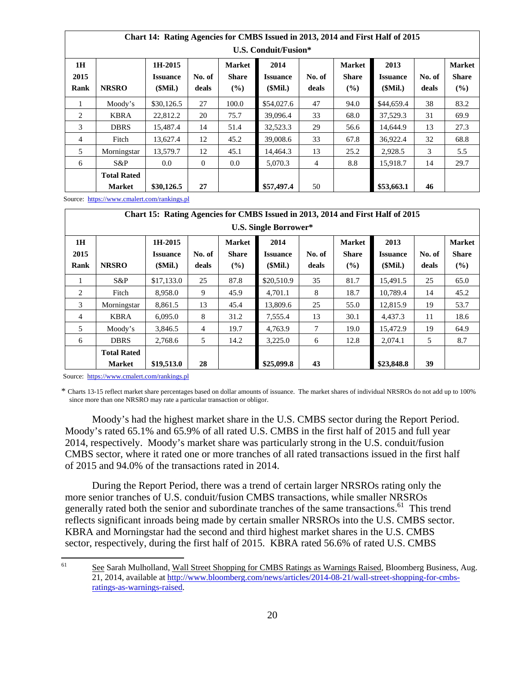|                    | Chart 14: Rathig Agencies for CMDS Issued in 2015, 2014 and First Hall of 2015<br>U.S. Conduit/Fusion* |                                       |                 |                                      |                                    |                 |                                      |                                    |                 |                                      |  |  |
|--------------------|--------------------------------------------------------------------------------------------------------|---------------------------------------|-----------------|--------------------------------------|------------------------------------|-----------------|--------------------------------------|------------------------------------|-----------------|--------------------------------------|--|--|
| 1H<br>2015<br>Rank | <b>NRSRO</b>                                                                                           | 1H-2015<br><b>Issuance</b><br>(SMil.) | No. of<br>deals | <b>Market</b><br><b>Share</b><br>(%) | 2014<br><b>Issuance</b><br>(SMil.) | No. of<br>deals | <b>Market</b><br><b>Share</b><br>(%) | 2013<br><b>Issuance</b><br>(SMil.) | No. of<br>deals | <b>Market</b><br><b>Share</b><br>(%) |  |  |
|                    | Moody's                                                                                                | \$30,126.5                            | 27              | 100.0                                | \$54,027.6                         | 47              | 94.0                                 | \$44,659.4                         | 38              | 83.2                                 |  |  |
| 2                  | <b>KBRA</b>                                                                                            | 22,812.2                              | 20              | 75.7                                 | 39,096.4                           | 33              | 68.0                                 | 37,529.3                           | 31              | 69.9                                 |  |  |
| 3                  | <b>DBRS</b>                                                                                            | 15,487.4                              | 14              | 51.4                                 | 32,523.3                           | 29              | 56.6                                 | 14,644.9                           | 13              | 27.3                                 |  |  |
| 4                  | Fitch                                                                                                  | 13,627.4                              | 12              | 45.2                                 | 39,008.6                           | 33              | 67.8                                 | 36,922.4                           | 32              | 68.8                                 |  |  |
| 5                  | Morningstar                                                                                            | 13.579.7                              | 12              | 45.1                                 | 14.464.3                           | 13              | 25.2                                 | 2.928.5                            | 3               | 5.5                                  |  |  |
| 6                  | $S\&P$                                                                                                 | 0.0                                   | $\Omega$        | 0.0                                  | 5.070.3                            | $\overline{4}$  | 8.8                                  | 15.918.7                           | 14              | 29.7                                 |  |  |
|                    | <b>Total Rated</b><br><b>Market</b>                                                                    | \$30,126.5                            | 27              |                                      | \$57,497.4                         | 50              |                                      | \$53,663.1                         | 46              |                                      |  |  |

**Chart 14: Rating Agencies for CMBS Issued in 2013, 2014 and First Half of 2015** 

Source: https://www.cmalert.com/rankings.pl

|                | Chart 15: Rating Agencies for CMBS Issued in 2013, 2014 and First Half of 2015 |                 |                |               |                 |        |               |                 |        |               |  |  |
|----------------|--------------------------------------------------------------------------------|-----------------|----------------|---------------|-----------------|--------|---------------|-----------------|--------|---------------|--|--|
|                | <b>U.S. Single Borrower*</b>                                                   |                 |                |               |                 |        |               |                 |        |               |  |  |
| 1H             |                                                                                | 1H-2015         |                | <b>Market</b> | 2014            |        | <b>Market</b> | 2013            |        | <b>Market</b> |  |  |
| 2015           |                                                                                | <b>Issuance</b> | No. of         | <b>Share</b>  | <b>Issuance</b> | No. of | <b>Share</b>  | <b>Issuance</b> | No. of | <b>Share</b>  |  |  |
| Rank           | <b>NRSRO</b>                                                                   | (SMil.)         | deals          | (%)           | (SMil.)         | deals  | (%)           | (SMil.)         | deals  | (%)           |  |  |
| 1              | $S\&P$                                                                         | \$17,133.0      | 25             | 87.8          | \$20,510.9      | 35     | 81.7          | 15,491.5        | 25     | 65.0          |  |  |
| 2              | Fitch                                                                          | 8,958.0         | 9              | 45.9          | 4,701.1         | 8      | 18.7          | 10,789.4        | 14     | 45.2          |  |  |
| 3              | Morningstar                                                                    | 8,861.5         | 13             | 45.4          | 13,809.6        | 25     | 55.0          | 12,815.9        | 19     | 53.7          |  |  |
| $\overline{4}$ | <b>KBRA</b>                                                                    | 6,095.0         | 8              | 31.2          | 7,555.4         | 13     | 30.1          | 4,437.3         | 11     | 18.6          |  |  |
| .5             | Moody's                                                                        | 3,846.5         | $\overline{4}$ | 19.7          | 4,763.9         | 7      | 19.0          | 15,472.9        | 19     | 64.9          |  |  |
| 6              | <b>DBRS</b>                                                                    | 2,768.6         | 5              | 14.2          | 3,225.0         | 6      | 12.8          | 2,074.1         | 5      | 8.7           |  |  |
|                | <b>Total Rated</b>                                                             |                 |                |               |                 |        |               |                 |        |               |  |  |
|                | <b>Market</b>                                                                  | \$19,513.0      | 28             |               | \$25,099.8      | 43     |               | \$23,848.8      | 39     |               |  |  |

Source: https://www.cmalert.com/rankings.pl

\* Charts 13-15 reflect market share percentages based on dollar amounts of issuance. The market shares of individual NRSROs do not add up to 100% since more than one NRSRO may rate a particular transaction or obligor.

Moody's had the highest market share in the U.S. CMBS sector during the Report Period. Moody's rated 65.1% and 65.9% of all rated U.S. CMBS in the first half of 2015 and full year 2014, respectively. Moody's market share was particularly strong in the U.S. conduit/fusion CMBS sector, where it rated one or more tranches of all rated transactions issued in the first half of 2015 and 94.0% of the transactions rated in 2014.

During the Report Period, there was a trend of certain larger NRSROs rating only the more senior tranches of U.S. conduit/fusion CMBS transactions, while smaller NRSROs generally rated both the senior and subordinate tranches of the same transactions.<sup>61</sup> This trend reflects significant inroads being made by certain smaller NRSROs into the U.S. CMBS sector. KBRA and Morningstar had the second and third highest market shares in the U.S. CMBS sector, respectively, during the first half of 2015. KBRA rated 56.6% of rated U.S. CMBS

<sup>61</sup> See Sarah Mulholland, Wall Street Shopping for CMBS Ratings as Warnings Raised, Bloomberg Business, Aug. 21, 2014, available at http://www.bloomberg.com/news/articles/2014-08-21/wall-street-shopping-for-cmbsratings-as-warnings-raised.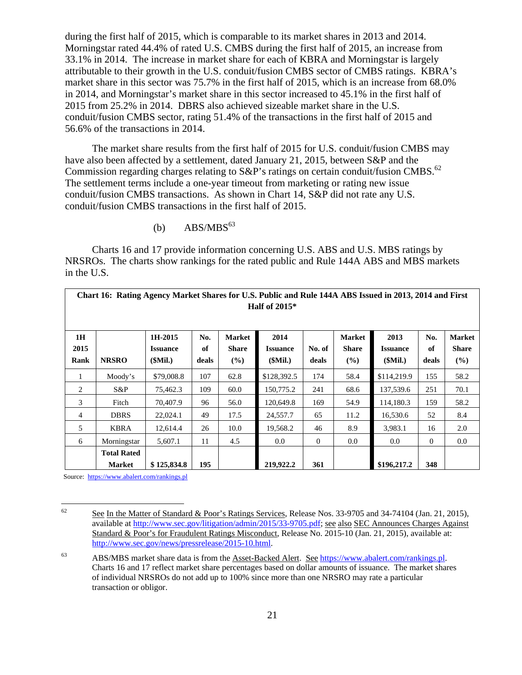during the first half of 2015, which is comparable to its market shares in 2013 and 2014. Morningstar rated 44.4% of rated U.S. CMBS during the first half of 2015, an increase from 33.1% in 2014. The increase in market share for each of KBRA and Morningstar is largely attributable to their growth in the U.S. conduit/fusion CMBS sector of CMBS ratings. KBRA's market share in this sector was 75.7% in the first half of 2015, which is an increase from 68.0% in 2014, and Morningstar's market share in this sector increased to 45.1% in the first half of 2015 from 25.2% in 2014. DBRS also achieved sizeable market share in the U.S. conduit/fusion CMBS sector, rating 51.4% of the transactions in the first half of 2015 and 56.6% of the transactions in 2014.

The market share results from the first half of 2015 for U.S. conduit/fusion CMBS may have also been affected by a settlement, dated January 21, 2015, between S&P and the Commission regarding charges relating to S&P's ratings on certain conduit/fusion CMBS.<sup>62</sup> The settlement terms include a one-year timeout from marketing or rating new issue conduit/fusion CMBS transactions. As shown in Chart 14, S&P did not rate any U.S. conduit/fusion CMBS transactions in the first half of 2015.

(b)  $ABS/MBS^{63}$ 

Charts 16 and 17 provide information concerning U.S. ABS and U.S. MBS ratings by NRSROs. The charts show rankings for the rated public and Rule 144A ABS and MBS markets in the U.S.

|                    | Chart 16: Rating Agency Market Shares for U.S. Public and Rule 144A ABS Issued in 2013, 2014 and First<br>Half of $2015*$ |                                       |                    |                                      |                                    |                 |                                      |                                    |                    |                                         |  |
|--------------------|---------------------------------------------------------------------------------------------------------------------------|---------------------------------------|--------------------|--------------------------------------|------------------------------------|-----------------|--------------------------------------|------------------------------------|--------------------|-----------------------------------------|--|
| 1H<br>2015<br>Rank | <b>NRSRO</b>                                                                                                              | 1H-2015<br><b>Issuance</b><br>(SMil.) | No.<br>of<br>deals | <b>Market</b><br><b>Share</b><br>(%) | 2014<br><b>Issuance</b><br>(SMil.) | No. of<br>deals | <b>Market</b><br><b>Share</b><br>(%) | 2013<br><b>Issuance</b><br>(SMil.) | No.<br>of<br>deals | <b>Market</b><br><b>Share</b><br>$(\%)$ |  |
|                    | Moody's                                                                                                                   | \$79,008.8                            | 107                | 62.8                                 | \$128,392.5                        | 174             | 58.4                                 | \$114,219.9                        | 155                | 58.2                                    |  |
| 2                  | $S\&P$                                                                                                                    | 75,462.3                              | 109                | 60.0                                 | 150,775.2                          | 241             | 68.6                                 | 137,539.6                          | 251                | 70.1                                    |  |
| 3                  | Fitch                                                                                                                     | 70,407.9                              | 96                 | 56.0                                 | 120,649.8                          | 169             | 54.9                                 | 114,180.3                          | 159                | 58.2                                    |  |
| $\overline{4}$     | <b>DBRS</b>                                                                                                               | 22,024.1                              | 49                 | 17.5                                 | 24,557.7                           | 65              | 11.2                                 | 16,530.6                           | 52                 | 8.4                                     |  |
| 5                  | <b>KBRA</b>                                                                                                               | 12.614.4                              | 26                 | 10.0                                 | 19.568.2                           | 46              | 8.9                                  | 3,983.1                            | 16                 | 2.0                                     |  |
| 6                  | Morningstar                                                                                                               | 5,607.1                               | 11                 | 4.5                                  | 0.0                                | $\mathbf{0}$    | 0.0                                  | $0.0\,$                            | $\overline{0}$     | 0.0                                     |  |
|                    | <b>Total Rated</b><br><b>Market</b>                                                                                       | \$125,834.8                           | 195                |                                      | 219,922.2                          | 361             |                                      | \$196,217.2                        | 348                |                                         |  |

Source: https://www.abalert.com/rankings.pl

<sup>62</sup> See In the Matter of Standard & Poor's Ratings Services, Release Nos. 33-9705 and 34-74104 (Jan. 21, 2015), available at http://www.sec.gov/litigation/admin/2015/33-9705.pdf; see also SEC Announces Charges Against Standard & Poor's for Fraudulent Ratings Misconduct, Release No. 2015-10 (Jan. 21, 2015), available at: http://www.sec.gov/news/pressrelease/2015-10.html.

<sup>63</sup> ABS/MBS market share data is from the Asset-Backed Alert. See https://www.abalert.com/rankings.pl. Charts 16 and 17 reflect market share percentages based on dollar amounts of issuance. The market shares of individual NRSROs do not add up to 100% since more than one NRSRO may rate a particular transaction or obligor.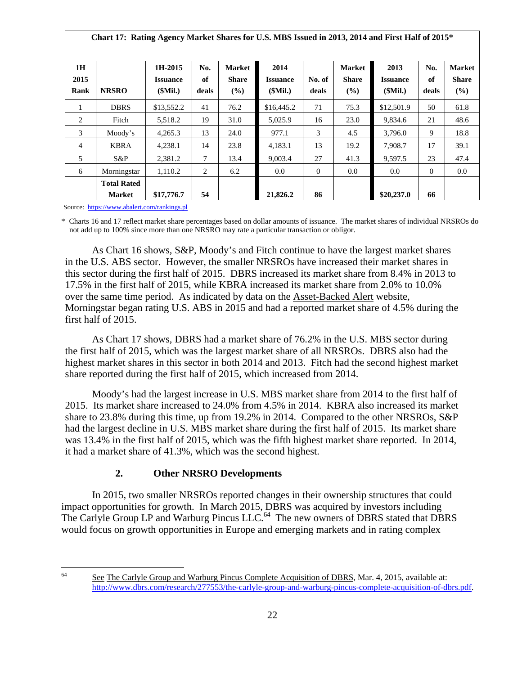| Chart 17: Rating Agency Market Shares for U.S. MBS Issued in 2013, 2014 and First Half of 2015* |                                     |                                       |                    |                               |                                    |                 |                                      |                                    |                    |                                         |
|-------------------------------------------------------------------------------------------------|-------------------------------------|---------------------------------------|--------------------|-------------------------------|------------------------------------|-----------------|--------------------------------------|------------------------------------|--------------------|-----------------------------------------|
| 1H<br>2015<br>Rank                                                                              | <b>NRSRO</b>                        | 1H-2015<br><b>Issuance</b><br>(SMil.) | No.<br>of<br>deals | <b>Market</b><br>Share<br>(%) | 2014<br><b>Issuance</b><br>(SMil.) | No. of<br>deals | <b>Market</b><br><b>Share</b><br>(%) | 2013<br><b>Issuance</b><br>(SMil.) | No.<br>of<br>deals | <b>Market</b><br><b>Share</b><br>$(\%)$ |
| 1                                                                                               | <b>DBRS</b>                         | \$13,552.2                            | 41                 | 76.2                          | \$16,445.2                         | 71              | 75.3                                 | \$12,501.9                         | 50                 | 61.8                                    |
| $\overline{2}$                                                                                  | Fitch                               | 5,518.2                               | 19                 | 31.0                          | 5,025.9                            | 16              | 23.0                                 | 9,834.6                            | 21                 | 48.6                                    |
| 3                                                                                               | Moody's                             | 4,265.3                               | 13                 | 24.0                          | 977.1                              | 3               | 4.5                                  | 3,796.0                            | 9                  | 18.8                                    |
| $\overline{4}$                                                                                  | <b>KBRA</b>                         | 4,238.1                               | 14                 | 23.8                          | 4,183.1                            | 13              | 19.2                                 | 7,908.7                            | 17                 | 39.1                                    |
| 5                                                                                               | $S\&P$                              | 2,381.2                               | 7                  | 13.4                          | 9,003.4                            | 27              | 41.3                                 | 9,597.5                            | 23                 | 47.4                                    |
| 6                                                                                               | Morningstar                         | 1,110.2                               | 2                  | 6.2                           | $0.0\,$                            | $\overline{0}$  | $0.0\,$                              | $0.0\,$                            | $\overline{0}$     | $0.0\,$                                 |
|                                                                                                 | <b>Total Rated</b><br><b>Market</b> | \$17,776.7                            | 54                 |                               | 21,826.2                           | 86              |                                      | \$20,237.0                         | 66                 |                                         |

Source: https://www.abalert.com/rankings.pl

\* Charts 16 and 17 reflect market share percentages based on dollar amounts of issuance. The market shares of individual NRSROs do not add up to 100% since more than one NRSRO may rate a particular transaction or obligor.

As Chart 16 shows, S&P, Moody's and Fitch continue to have the largest market shares in the U.S. ABS sector. However, the smaller NRSROs have increased their market shares in this sector during the first half of 2015. DBRS increased its market share from 8.4% in 2013 to 17.5% in the first half of 2015, while KBRA increased its market share from 2.0% to 10.0% over the same time period. As indicated by data on the Asset-Backed Alert website, Morningstar began rating U.S. ABS in 2015 and had a reported market share of 4.5% during the first half of 2015.

As Chart 17 shows, DBRS had a market share of 76.2% in the U.S. MBS sector during the first half of 2015, which was the largest market share of all NRSROs. DBRS also had the highest market shares in this sector in both 2014 and 2013. Fitch had the second highest market share reported during the first half of 2015, which increased from 2014.

Moody's had the largest increase in U.S. MBS market share from 2014 to the first half of 2015. Its market share increased to 24.0% from 4.5% in 2014. KBRA also increased its market share to 23.8% during this time, up from 19.2% in 2014. Compared to the other NRSROs, S&P had the largest decline in U.S. MBS market share during the first half of 2015. Its market share was 13.4% in the first half of 2015, which was the fifth highest market share reported. In 2014, it had a market share of 41.3%, which was the second highest.

#### **2. Other NRSRO Developments**

In 2015, two smaller NRSROs reported changes in their ownership structures that could impact opportunities for growth. In March 2015, DBRS was acquired by investors including The Carlyle Group LP and Warburg Pincus LLC.<sup>64</sup> The new owners of DBRS stated that DBRS would focus on growth opportunities in Europe and emerging markets and in rating complex

64

See The Carlyle Group and Warburg Pincus Complete Acquisition of DBRS, Mar. 4, 2015, available at: http://www.dbrs.com/research/277553/the-carlyle-group-and-warburg-pincus-complete-acquisition-of-dbrs.pdf.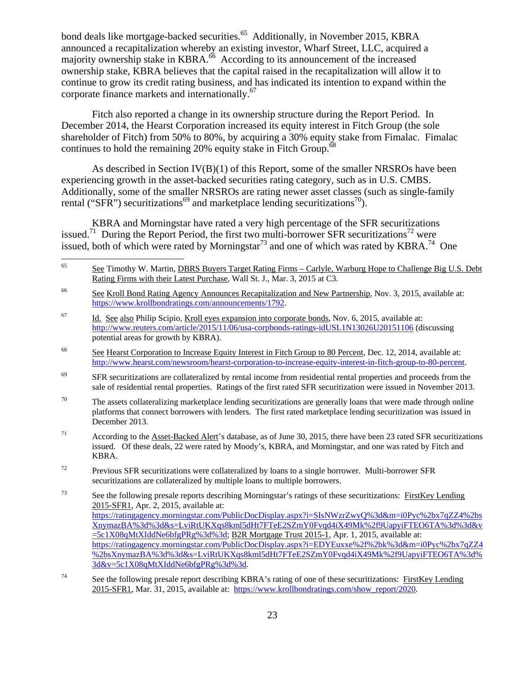bond deals like mortgage-backed securities.<sup>65</sup> Additionally, in November 2015, KBRA announced a recapitalization whereby an existing investor, Wharf Street, LLC, acquired a majority ownership stake in KBRA.<sup>66</sup> According to its announcement of the increased ownership stake, KBRA believes that the capital raised in the recapitalization will allow it to continue to grow its credit rating business, and has indicated its intention to expand within the corporate finance markets and internationally.<sup>67</sup>

Fitch also reported a change in its ownership structure during the Report Period. In December 2014, the Hearst Corporation increased its equity interest in Fitch Group (the sole shareholder of Fitch) from 50% to 80%, by acquiring a 30% equity stake from Fimalac. Fimalac continues to hold the remaining 20% equity stake in Fitch Group.<sup>6</sup>

As described in Section IV(B)(1) of this Report, some of the smaller NRSROs have been experiencing growth in the asset-backed securities rating category, such as in U.S. CMBS. Additionally, some of the smaller NRSROs are rating newer asset classes (such as single-family rental ("SFR") securitizations<sup>69</sup> and marketplace lending securitizations<sup>70</sup>).

KBRA and Morningstar have rated a very high percentage of the SFR securitizations issued.<sup>71</sup> During the Report Period, the first two multi-borrower SFR securitizations<sup>72</sup> were issued, both of which were rated by Morningstar<sup>73</sup> and one of which was rated by KBRA.<sup>74</sup> One

65 65 See Timothy W. Martin, DBRS Buyers Target Rating Firms – Carlyle, Warburg Hope to Challenge Big U.S. Debt Rating Firms with their Latest Purchase, Wall St. J., Mar. 3, 2015 at C3.

- $67$  Id. See also Philip Scipio, Kroll eyes expansion into corporate bonds, Nov. 6, 2015, available at: http://www.reuters.com/article/2015/11/06/usa-corpbonds-ratings-idUSL1N13026U20151106 (discussing potential areas for growth by KBRA).
- <sup>68</sup> See Hearst Corporation to Increase Equity Interest in Fitch Group to 80 Percent, Dec. 12, 2014, available at: http://www.hearst.com/newsroom/hearst-corporation-to-increase-equity-interest-in-fitch-group-to-80-percent.
- <sup>69</sup> SFR securitizations are collateralized by rental income from residential rental properties and proceeds from the sale of residential rental properties. Ratings of the first rated SFR securitization were issued in November 2013.
- $70$  The assets collateralizing marketplace lending securitizations are generally loans that were made through online platforms that connect borrowers with lenders. The first rated marketplace lending securitization was issued in December 2013.
- $71$  According to the Asset-Backed Alert's database, as of June 30, 2015, there have been 23 rated SFR securitizations issued. Of these deals, 22 were rated by Moody's, KBRA, and Morningstar, and one was rated by Fitch and KBRA.
- $72$  Previous SFR securitizations were collateralized by loans to a single borrower. Multi-borrower SFR securitizations are collateralized by multiple loans to multiple borrowers.

<sup>&</sup>lt;sup>66</sup> See Kroll Bond Rating Agency Announces Recapitalization and New Partnership, Nov. 3, 2015, available at: https://www.krollbondratings.com/announcements/1792.

<sup>&</sup>lt;sup>73</sup> See the following presale reports describing Morningstar's ratings of these securitizations: FirstKey Lending 2015-SFR1, Apr. 2, 2015, available at: https://ratingagency.morningstar.com/PublicDocDisplay.aspx?i=SIsNWzrZwyQ%3d&m=i0Pyc%2bx7qZZ4%2bs XnymazBA%3d%3d&s=LviRtUKXqs8kml5dHt7FTeE2SZmY0Fvqd4iX49Mk%2f9UapyiFTEO6TA%3d%3d&v  $=5c1X08qMtXIddNe6bfgPRg%3d%3d; B2R Mortgage Trust 2015-1, Apr. 1, 2015, available at:$ https://ratingagency.morningstar.com/PublicDocDisplay.aspx?i=EDYEuxxe%2f%2bk%3d&m=i0Pyc%2bx7qZZ4 %2bsXnymazBA%3d%3d&s=LviRtUKXqs8kml5dHt7FTeE2SZmY0Fvqd4iX49Mk%2f9UapyiFTEO6TA%3d% 3d&v=5c1X08qMtXIddNe6bfgPRg%3d%3d.

<sup>&</sup>lt;sup>74</sup> See the following presale report describing KBRA's rating of one of these securitizations: FirstKey Lending 2015-SFR1, Mar. 31, 2015, available at: https://www.krollbondratings.com/show\_report/2020.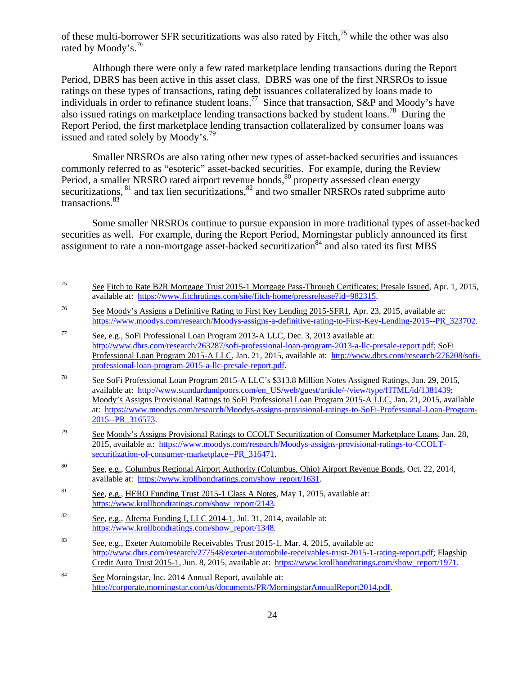of these multi-borrower SFR securitizations was also rated by Fitch,75 while the other was also rated by Moody's.<sup>76</sup>

Although there were only a few rated marketplace lending transactions during the Report Period, DBRS has been active in this asset class. DBRS was one of the first NRSROs to issue ratings on these types of transactions, rating debt issuances collateralized by loans made to individuals in order to refinance student loans.<sup>77</sup> Since that transaction, S&P and Moody's have also issued ratings on marketplace lending transactions backed by student loans.<sup>78</sup> During the Report Period, the first marketplace lending transaction collateralized by consumer loans was issued and rated solely by Moody's.<sup>79</sup>

Smaller NRSROs are also rating other new types of asset-backed securities and issuances commonly referred to as "esoteric" asset-backed securities. For example, during the Review Period, a smaller NRSRO rated airport revenue bonds,<sup>80</sup> property assessed clean energy securitizations,  $81$  and tax lien securitizations,  $82$  and two smaller NRSROs rated subprime auto transactions.83

Some smaller NRSROs continue to pursue expansion in more traditional types of asset-backed securities as well. For example, during the Report Period, Morningstar publicly announced its first assignment to rate a non-mortgage asset-backed securitization<sup>84</sup> and also rated its first MBS

 $75\,$ 75 See Fitch to Rate B2R Mortgage Trust 2015-1 Mortgage Pass-Through Certificates; Presale Issued, Apr. 1, 2015, available at: https://www.fitchratings.com/site/fitch-home/pressrelease?id=982315.

<sup>76</sup> See Moody's Assigns a Definitive Rating to First Key Lending 2015-SFR1, Apr. 23, 2015, available at: https://www.moodys.com/research/Moodys-assigns-a-definitive-rating-to-First-Key-Lending-2015--PR\_323702.

<sup>77</sup> See, e.g., SoFi Professional Loan Program 2013-A LLC, Dec. 3, 2013 available at: http://www.dbrs.com/research/263287/sofi-professional-loan-program-2013-a-llc-presale-report.pdf; SoFi Professional Loan Program 2015-A LLC, Jan. 21, 2015, available at: http://www.dbrs.com/research/276208/sofiprofessional-loan-program-2015-a-llc-presale-report.pdf.

<sup>78</sup> See SoFi Professional Loan Program 2015-A LLC's \$313.8 Million Notes Assigned Ratings, Jan. 29, 2015, available at: http://www.standardandpoors.com/en\_US/web/guest/article/-/view/type/HTML/id/1381439; Moody's Assigns Provisional Ratings to SoFi Professional Loan Program 2015-A LLC, Jan. 21, 2015, available at: https://www.moodys.com/research/Moodys-assigns-provisional-ratings-to-SoFi-Professional-Loan-Program-2015--PR\_316573.

<sup>&</sup>lt;sup>79</sup> See Moody's Assigns Provisional Ratings to CCOLT Securitization of Consumer Marketplace Loans, Jan. 28, 2015, available at: https://www.moodys.com/research/Moodys-assigns-provisional-ratings-to-CCOLTsecuritization-of-consumer-marketplace--PR\_316471.

<sup>&</sup>lt;sup>80</sup> See, e.g., Columbus Regional Airport Authority (Columbus, Ohio) Airport Revenue Bonds, Oct. 22, 2014, available at: https://www.krollbondratings.com/show\_report/1631.

<sup>&</sup>lt;sup>81</sup> See, e.g., HERO Funding Trust 2015-1 Class A Notes, May 1, 2015, available at: https://www.krollbondratings.com/show\_report/2143.

<sup>&</sup>lt;sup>82</sup> See, e.g., Alterna Funding I, LLC 2014-1, Jul. 31, 2014, available at: https://www.krollbondratings.com/show\_report/1348.

<sup>83</sup> See, e.g., Exeter Automobile Receivables Trust 2015-1, Mar. 4, 2015, available at: http://www.dbrs.com/research/277548/exeter-automobile-receivables-trust-2015-1-rating-report.pdf; Flagship Credit Auto Trust 2015-1, Jun. 8, 2015, available at: https://www.krollbondratings.com/show\_report/1971.

<sup>84</sup> See Morningstar, Inc. 2014 Annual Report, available at: http://corporate.morningstar.com/us/documents/PR/MorningstarAnnualReport2014.pdf.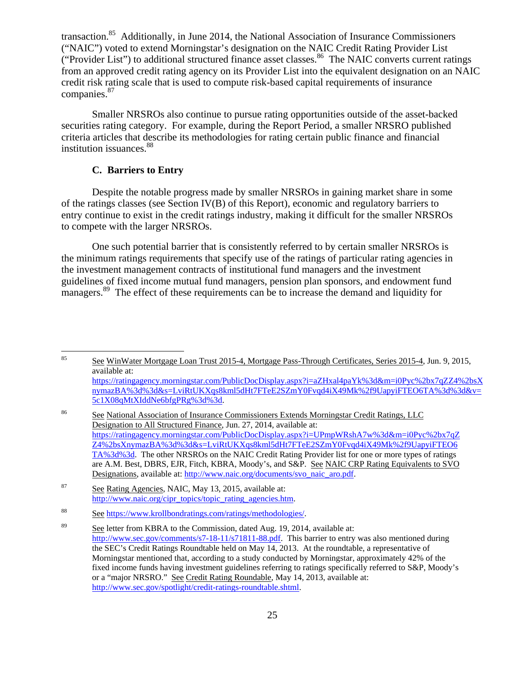transaction.<sup>85</sup> Additionally, in June 2014, the National Association of Insurance Commissioners ("NAIC") voted to extend Morningstar's designation on the NAIC Credit Rating Provider List ("Provider List") to additional structured finance asset classes.<sup>86</sup> The NAIC converts current ratings from an approved credit rating agency on its Provider List into the equivalent designation on an NAIC credit risk rating scale that is used to compute risk-based capital requirements of insurance companies.87

Smaller NRSROs also continue to pursue rating opportunities outside of the asset-backed securities rating category. For example, during the Report Period, a smaller NRSRO published criteria articles that describe its methodologies for rating certain public finance and financial institution issuances.<sup>88</sup>

#### **C. Barriers to Entry**

Despite the notable progress made by smaller NRSROs in gaining market share in some of the ratings classes (see Section IV(B) of this Report), economic and regulatory barriers to entry continue to exist in the credit ratings industry, making it difficult for the smaller NRSROs to compete with the larger NRSROs.

 One such potential barrier that is consistently referred to by certain smaller NRSROs is the minimum ratings requirements that specify use of the ratings of particular rating agencies in the investment management contracts of institutional fund managers and the investment guidelines of fixed income mutual fund managers, pension plan sponsors, and endowment fund managers.<sup>89</sup> The effect of these requirements can be to increase the demand and liquidity for

<sup>85</sup> See WinWater Mortgage Loan Trust 2015-4, Mortgage Pass-Through Certificates, Series 2015-4, Jun. 9, 2015, available at: https://ratingagency.morningstar.com/PublicDocDisplay.aspx?i=aZHxal4paYk%3d&m=i0Pyc%2bx7qZZ4%2bsX

nymazBA%3d%3d&s=LviRtUKXqs8kml5dHt7FTeE2SZmY0Fvqd4iX49Mk%2f9UapyiFTEO6TA%3d%3d&v= 5c1X08qMtXIddNe6bfgPRg%3d%3d.

<sup>86</sup> See National Association of Insurance Commissioners Extends Morningstar Credit Ratings, LLC Designation to All Structured Finance, Jun. 27, 2014, available at: https://ratingagency.morningstar.com/PublicDocDisplay.aspx?i=UPmpWRshA7w%3d&m=i0Pyc%2bx7qZ Z4%2bsXnymazBA%3d%3d&s=LviRtUKXqs8kml5dHt7FTeE2SZmY0Fvqd4iX49Mk%2f9UapyiFTEO6 TA%3d%3d. The other NRSROs on the NAIC Credit Rating Provider list for one or more types of ratings are A.M. Best, DBRS, EJR, Fitch, KBRA, Moody's, and S&P. See NAIC CRP Rating Equivalents to SVO Designations, available at: http://www.naic.org/documents/svo\_naic\_aro.pdf.

<sup>87</sup> See Rating Agencies, NAIC, May 13, 2015, available at: http://www.naic.org/cipr\_topics/topic\_rating\_agencies.htm.

<sup>88</sup> See https://www.krollbondratings.com/ratings/methodologies/.

<sup>&</sup>lt;sup>89</sup> See letter from KBRA to the Commission, dated Aug. 19, 2014, available at: http://www.sec.gov/comments/s7-18-11/s71811-88.pdf. This barrier to entry was also mentioned during the SEC's Credit Ratings Roundtable held on May 14, 2013. At the roundtable, a representative of Morningstar mentioned that, according to a study conducted by Morningstar, approximately 42% of the fixed income funds having investment guidelines referring to ratings specifically referred to S&P, Moody's or a "major NRSRO." See Credit Rating Roundable, May 14, 2013, available at: http://www.sec.gov/spotlight/credit-ratings-roundtable.shtml.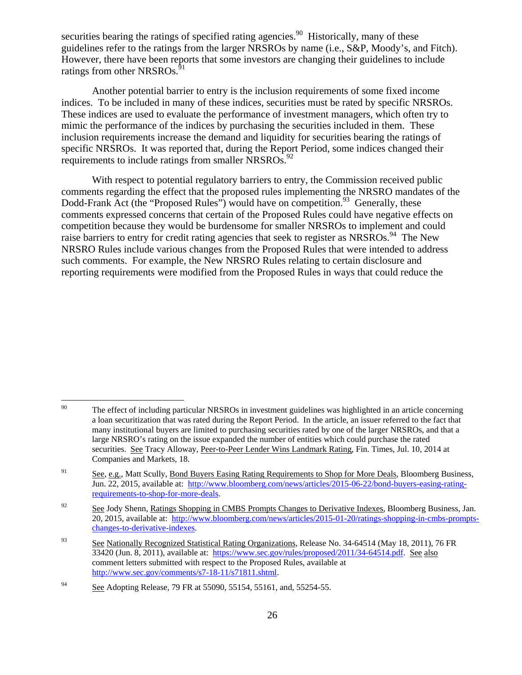securities bearing the ratings of specified rating agencies.<sup>90</sup> Historically, many of these guidelines refer to the ratings from the larger NRSROs by name (i.e., S&P, Moody's, and Fitch). However, there have been reports that some investors are changing their guidelines to include ratings from other NRSROs.<sup>91</sup>

 Another potential barrier to entry is the inclusion requirements of some fixed income indices. To be included in many of these indices, securities must be rated by specific NRSROs. These indices are used to evaluate the performance of investment managers, which often try to mimic the performance of the indices by purchasing the securities included in them. These inclusion requirements increase the demand and liquidity for securities bearing the ratings of specific NRSROs. It was reported that, during the Report Period, some indices changed their requirements to include ratings from smaller NRSROs.<sup>92</sup>

 With respect to potential regulatory barriers to entry, the Commission received public comments regarding the effect that the proposed rules implementing the NRSRO mandates of the Dodd-Frank Act (the "Proposed Rules") would have on competition.<sup>93</sup> Generally, these comments expressed concerns that certain of the Proposed Rules could have negative effects on competition because they would be burdensome for smaller NRSROs to implement and could raise barriers to entry for credit rating agencies that seek to register as NRSROs.<sup>94</sup> The New NRSRO Rules include various changes from the Proposed Rules that were intended to address such comments. For example, the New NRSRO Rules relating to certain disclosure and reporting requirements were modified from the Proposed Rules in ways that could reduce the

<sup>90</sup> The effect of including particular NRSROs in investment guidelines was highlighted in an article concerning a loan securitization that was rated during the Report Period. In the article, an issuer referred to the fact that many institutional buyers are limited to purchasing securities rated by one of the larger NRSROs, and that a large NRSRO's rating on the issue expanded the number of entities which could purchase the rated securities. See Tracy Alloway, Peer-to-Peer Lender Wins Landmark Rating, Fin. Times, Jul. 10, 2014 at Companies and Markets, 18.

<sup>&</sup>lt;sup>91</sup> See, e.g., Matt Scully, Bond Buyers Easing Rating Requirements to Shop for More Deals, Bloomberg Business, Jun. 22, 2015, available at: http://www.bloomberg.com/news/articles/2015-06-22/bond-buyers-easing-ratingrequirements-to-shop-for-more-deals.

<sup>&</sup>lt;sup>92</sup> See Jody Shenn, Ratings Shopping in CMBS Prompts Changes to Derivative Indexes, Bloomberg Business, Jan. 20, 2015, available at: http://www.bloomberg.com/news/articles/2015-01-20/ratings-shopping-in-cmbs-promptschanges-to-derivative-indexes.

<sup>93</sup> See Nationally Recognized Statistical Rating Organizations, Release No. 34-64514 (May 18, 2011), 76 FR 33420 (Jun. 8, 2011), available at: https://www.sec.gov/rules/proposed/2011/34-64514.pdf. See also comment letters submitted with respect to the Proposed Rules, available at http://www.sec.gov/comments/s7-18-11/s71811.shtml.

<sup>&</sup>lt;sup>94</sup> See Adopting Release, 79 FR at 55090, 55154, 55161, and, 55254-55.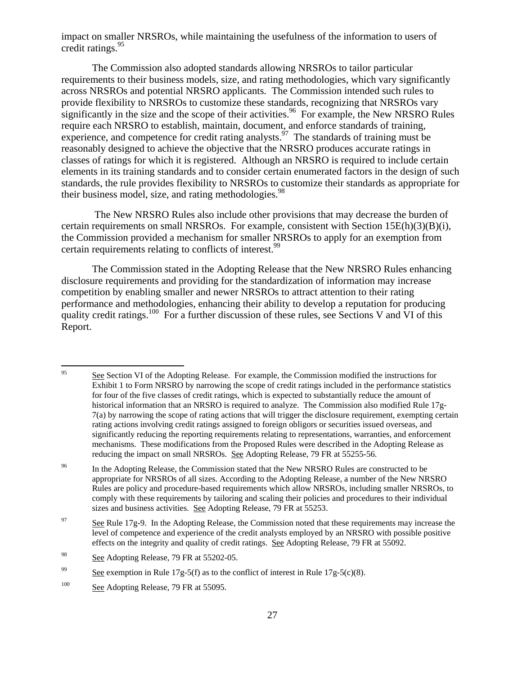impact on smaller NRSROs, while maintaining the usefulness of the information to users of credit ratings.95

The Commission also adopted standards allowing NRSROs to tailor particular requirements to their business models, size, and rating methodologies, which vary significantly across NRSROs and potential NRSRO applicants. The Commission intended such rules to provide flexibility to NRSROs to customize these standards, recognizing that NRSROs vary significantly in the size and the scope of their activities.<sup>96</sup> For example, the New NRSRO Rules require each NRSRO to establish, maintain, document, and enforce standards of training, experience, and competence for credit rating analysts.<sup>97</sup> The standards of training must be reasonably designed to achieve the objective that the NRSRO produces accurate ratings in classes of ratings for which it is registered. Although an NRSRO is required to include certain elements in its training standards and to consider certain enumerated factors in the design of such standards, the rule provides flexibility to NRSROs to customize their standards as appropriate for their business model, size, and rating methodologies.<sup>98</sup>

 The New NRSRO Rules also include other provisions that may decrease the burden of certain requirements on small NRSROs. For example, consistent with Section  $15E(h)(3)(B)(i)$ , the Commission provided a mechanism for smaller NRSROs to apply for an exemption from certain requirements relating to conflicts of interest.<sup>99</sup>

The Commission stated in the Adopting Release that the New NRSRO Rules enhancing disclosure requirements and providing for the standardization of information may increase competition by enabling smaller and newer NRSROs to attract attention to their rating performance and methodologies, enhancing their ability to develop a reputation for producing quality credit ratings.<sup>100</sup> For a further discussion of these rules, see Sections V and VI of this Report.

<sup>95</sup> See Section VI of the Adopting Release. For example, the Commission modified the instructions for Exhibit 1 to Form NRSRO by narrowing the scope of credit ratings included in the performance statistics for four of the five classes of credit ratings, which is expected to substantially reduce the amount of historical information that an NRSRO is required to analyze. The Commission also modified Rule 17g-7(a) by narrowing the scope of rating actions that will trigger the disclosure requirement, exempting certain rating actions involving credit ratings assigned to foreign obligors or securities issued overseas, and significantly reducing the reporting requirements relating to representations, warranties, and enforcement mechanisms. These modifications from the Proposed Rules were described in the Adopting Release as reducing the impact on small NRSROs. See Adopting Release, 79 FR at 55255-56.

<sup>&</sup>lt;sup>96</sup> In the Adopting Release, the Commission stated that the New NRSRO Rules are constructed to be appropriate for NRSROs of all sizes. According to the Adopting Release, a number of the New NRSRO Rules are policy and procedure-based requirements which allow NRSROs, including smaller NRSROs, to comply with these requirements by tailoring and scaling their policies and procedures to their individual sizes and business activities. See Adopting Release, 79 FR at 55253.

<sup>&</sup>lt;sup>97</sup> See Rule 17g-9. In the Adopting Release, the Commission noted that these requirements may increase the level of competence and experience of the credit analysts employed by an NRSRO with possible positive effects on the integrity and quality of credit ratings. See Adopting Release, 79 FR at 55092.

<sup>&</sup>lt;sup>98</sup> See Adopting Release, 79 FR at 55202-05.

<sup>&</sup>lt;sup>99</sup> See exemption in Rule 17g-5(f) as to the conflict of interest in Rule 17g-5(c)(8).

<sup>&</sup>lt;sup>100</sup> See Adopting Release, 79 FR at 55095.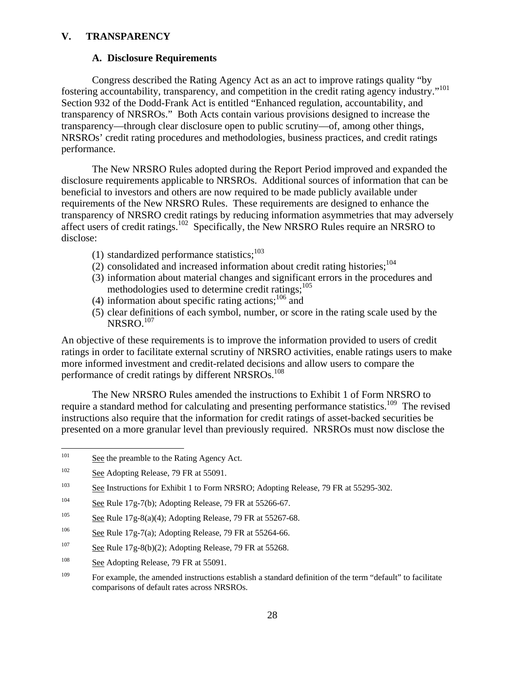#### **V. TRANSPARENCY**

#### **A. Disclosure Requirements**

Congress described the Rating Agency Act as an act to improve ratings quality "by fostering accountability, transparency, and competition in the credit rating agency industry."<sup>101</sup> Section 932 of the Dodd-Frank Act is entitled "Enhanced regulation, accountability, and transparency of NRSROs." Both Acts contain various provisions designed to increase the transparency—through clear disclosure open to public scrutiny—of, among other things, NRSROs' credit rating procedures and methodologies, business practices, and credit ratings performance.

The New NRSRO Rules adopted during the Report Period improved and expanded the disclosure requirements applicable to NRSROs. Additional sources of information that can be beneficial to investors and others are now required to be made publicly available under requirements of the New NRSRO Rules. These requirements are designed to enhance the transparency of NRSRO credit ratings by reducing information asymmetries that may adversely affect users of credit ratings.<sup>102</sup> Specifically, the New NRSRO Rules require an NRSRO to disclose:

- (1) standardized performance statistics; $^{103}$
- (2) consolidated and increased information about credit rating histories; $^{104}$
- (3) information about material changes and significant errors in the procedures and methodologies used to determine credit ratings;<sup>105</sup>
- (4) information about specific rating actions; $106$  and
- (5) clear definitions of each symbol, number, or score in the rating scale used by the NRSRO.<sup>107</sup>

An objective of these requirements is to improve the information provided to users of credit ratings in order to facilitate external scrutiny of NRSRO activities, enable ratings users to make more informed investment and credit-related decisions and allow users to compare the performance of credit ratings by different NRSROs.<sup>108</sup>

The New NRSRO Rules amended the instructions to Exhibit 1 of Form NRSRO to require a standard method for calculating and presenting performance statistics.<sup>109</sup> The revised instructions also require that the information for credit ratings of asset-backed securities be presented on a more granular level than previously required. NRSROs must now disclose the

- <sup>105</sup> See Rule 17g-8(a)(4); Adopting Release, 79 FR at 55267-68.
- <sup>106</sup> See Rule 17g-7(a); Adopting Release, 79 FR at 55264-66.
- $\frac{107}{2}$  See Rule 17g-8(b)(2); Adopting Release, 79 FR at 55268.
- $\frac{108}{200}$  See Adopting Release, 79 FR at 55091.

<sup>101</sup> See the preamble to the Rating Agency Act.

 $\frac{102}{20}$  See Adopting Release, 79 FR at 55091.

<sup>&</sup>lt;sup>103</sup> See Instructions for Exhibit 1 to Form NRSRO; Adopting Release, 79 FR at 55295-302.

<sup>&</sup>lt;sup>104</sup> See Rule 17g-7(b); Adopting Release, 79 FR at 55266-67.

<sup>&</sup>lt;sup>109</sup> For example, the amended instructions establish a standard definition of the term "default" to facilitate comparisons of default rates across NRSROs.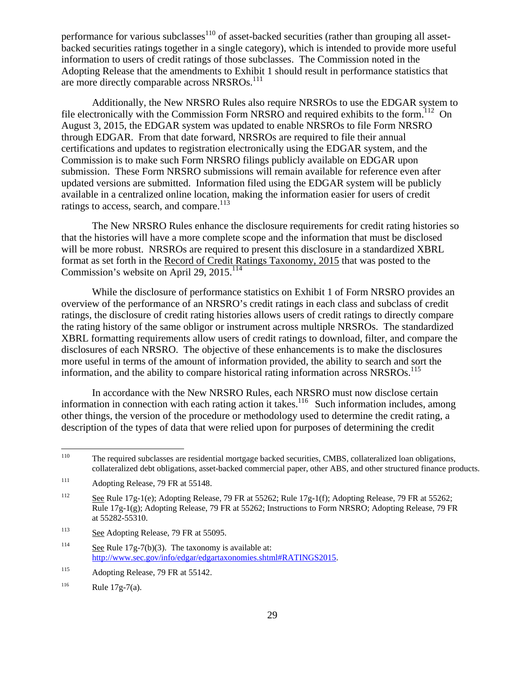performance for various subclasses $110$  of asset-backed securities (rather than grouping all assetbacked securities ratings together in a single category), which is intended to provide more useful information to users of credit ratings of those subclasses. The Commission noted in the Adopting Release that the amendments to Exhibit 1 should result in performance statistics that are more directly comparable across NRSROs.<sup>111</sup>

Additionally, the New NRSRO Rules also require NRSROs to use the EDGAR system to file electronically with the Commission Form NRSRO and required exhibits to the form.<sup>112</sup> On August 3, 2015, the EDGAR system was updated to enable NRSROs to file Form NRSRO through EDGAR. From that date forward, NRSROs are required to file their annual certifications and updates to registration electronically using the EDGAR system, and the Commission is to make such Form NRSRO filings publicly available on EDGAR upon submission. These Form NRSRO submissions will remain available for reference even after updated versions are submitted. Information filed using the EDGAR system will be publicly available in a centralized online location, making the information easier for users of credit ratings to access, search, and compare.<sup>113</sup>

The New NRSRO Rules enhance the disclosure requirements for credit rating histories so that the histories will have a more complete scope and the information that must be disclosed will be more robust. NRSROs are required to present this disclosure in a standardized XBRL format as set forth in the Record of Credit Ratings Taxonomy, 2015 that was posted to the Commission's website on April  $29, 2015$ .<sup>114</sup>

While the disclosure of performance statistics on Exhibit 1 of Form NRSRO provides an overview of the performance of an NRSRO's credit ratings in each class and subclass of credit ratings, the disclosure of credit rating histories allows users of credit ratings to directly compare the rating history of the same obligor or instrument across multiple NRSROs. The standardized XBRL formatting requirements allow users of credit ratings to download, filter, and compare the disclosures of each NRSRO. The objective of these enhancements is to make the disclosures more useful in terms of the amount of information provided, the ability to search and sort the information, and the ability to compare historical rating information across  $NRSROs$ <sup>115</sup>

In accordance with the New NRSRO Rules, each NRSRO must now disclose certain information in connection with each rating action it takes.<sup>116</sup> Such information includes, among other things, the version of the procedure or methodology used to determine the credit rating, a description of the types of data that were relied upon for purposes of determining the credit

 $110\,$ The required subclasses are residential mortgage backed securities, CMBS, collateralized loan obligations, collateralized debt obligations, asset-backed commercial paper, other ABS, and other structured finance products.

<sup>&</sup>lt;sup>111</sup> Adopting Release, 79 FR at 55148.

<sup>112</sup> See Rule 17g-1(e); Adopting Release, 79 FR at 55262; Rule 17g-1(f); Adopting Release, 79 FR at 55262; Rule 17g-1(g); Adopting Release, 79 FR at 55262; Instructions to Form NRSRO; Adopting Release, 79 FR at 55282-55310.

<sup>&</sup>lt;sup>113</sup> See Adopting Release, 79 FR at 55095.

<sup>&</sup>lt;sup>114</sup> See Rule 17g-7(b)(3). The taxonomy is available at: http://www.sec.gov/info/edgar/edgartaxonomies.shtml#RATINGS2015.

<sup>&</sup>lt;sup>115</sup> Adopting Release, 79 FR at 55142.

 $116$  Rule 17g-7(a).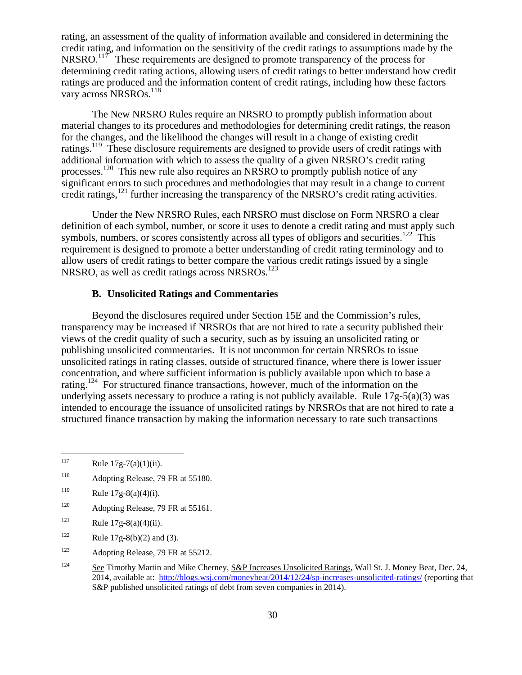rating, an assessment of the quality of information available and considered in determining the credit rating, and information on the sensitivity of the credit ratings to assumptions made by the NRSRO.<sup>117</sup> These requirements are designed to promote transparency of the process for determining credit rating actions, allowing users of credit ratings to better understand how credit ratings are produced and the information content of credit ratings, including how these factors vary across NRSROs.<sup>118</sup>

The New NRSRO Rules require an NRSRO to promptly publish information about material changes to its procedures and methodologies for determining credit ratings, the reason for the changes, and the likelihood the changes will result in a change of existing credit ratings.<sup>119</sup> These disclosure requirements are designed to provide users of credit ratings with additional information with which to assess the quality of a given NRSRO's credit rating processes.120 This new rule also requires an NRSRO to promptly publish notice of any significant errors to such procedures and methodologies that may result in a change to current credit ratings,<sup>121</sup> further increasing the transparency of the NRSRO's credit rating activities.

Under the New NRSRO Rules, each NRSRO must disclose on Form NRSRO a clear definition of each symbol, number, or score it uses to denote a credit rating and must apply such symbols, numbers, or scores consistently across all types of obligors and securities.<sup>122</sup> This requirement is designed to promote a better understanding of credit rating terminology and to allow users of credit ratings to better compare the various credit ratings issued by a single NRSRO, as well as credit ratings across  $NRSROs$ <sup>123</sup>

#### **B. Unsolicited Ratings and Commentaries**

Beyond the disclosures required under Section 15E and the Commission's rules, transparency may be increased if NRSROs that are not hired to rate a security published their views of the credit quality of such a security, such as by issuing an unsolicited rating or publishing unsolicited commentaries. It is not uncommon for certain NRSROs to issue unsolicited ratings in rating classes, outside of structured finance, where there is lower issuer concentration, and where sufficient information is publicly available upon which to base a rating.<sup>124</sup> For structured finance transactions, however, much of the information on the underlying assets necessary to produce a rating is not publicly available. Rule  $17g-5(a)(3)$  was intended to encourage the issuance of unsolicited ratings by NRSROs that are not hired to rate a structured finance transaction by making the information necessary to rate such transactions

 $\overline{a}$ 

<sup>118</sup> Adopting Release, 79 FR at 55180.

- <sup>120</sup> Adopting Release, 79 FR at 55161.
- <sup>121</sup> Rule  $17g-8(a)(4)(ii)$ .
- <sup>122</sup> Rule 17g-8(b)(2) and (3).

<sup>123</sup> Adopting Release, 79 FR at 55212.

 $117$  Rule  $17g-7(a)(1)(ii)$ .

<sup>119</sup> Rule  $17g-8(a)(4)(i)$ .

<sup>&</sup>lt;sup>124</sup> See Timothy Martin and Mike Cherney, S&P Increases Unsolicited Ratings, Wall St. J. Money Beat, Dec. 24, 2014, available at: http://blogs.wsj.com/moneybeat/2014/12/24/sp-increases-unsolicited-ratings/ (reporting that S&P published unsolicited ratings of debt from seven companies in 2014).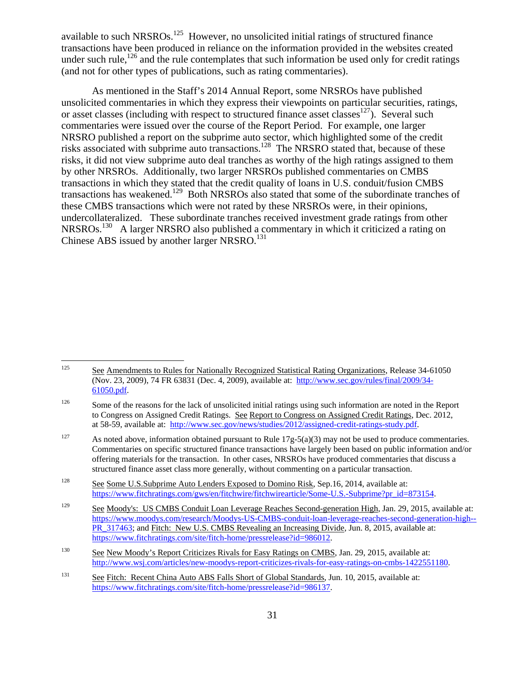available to such NRSROs.<sup>125</sup> However, no unsolicited initial ratings of structured finance transactions have been produced in reliance on the information provided in the websites created under such rule, $126$  and the rule contemplates that such information be used only for credit ratings (and not for other types of publications, such as rating commentaries).

As mentioned in the Staff's 2014 Annual Report, some NRSROs have published unsolicited commentaries in which they express their viewpoints on particular securities, ratings, or asset classes (including with respect to structured finance asset classes<sup>127</sup>). Several such commentaries were issued over the course of the Report Period. For example, one larger NRSRO published a report on the subprime auto sector, which highlighted some of the credit risks associated with subprime auto transactions.<sup>128</sup> The NRSRO stated that, because of these risks, it did not view subprime auto deal tranches as worthy of the high ratings assigned to them by other NRSROs. Additionally, two larger NRSROs published commentaries on CMBS transactions in which they stated that the credit quality of loans in U.S. conduit/fusion CMBS transactions has weakened.<sup>129</sup> Both NRSROs also stated that some of the subordinate tranches of these CMBS transactions which were not rated by these NRSROs were, in their opinions, undercollateralized. These subordinate tranches received investment grade ratings from other NRSROs.<sup>130</sup> A larger NRSRO also published a commentary in which it criticized a rating on Chinese ABS issued by another larger NRSRO.<sup>131</sup>

<sup>125</sup> See Amendments to Rules for Nationally Recognized Statistical Rating Organizations, Release 34-61050 (Nov. 23, 2009), 74 FR 63831 (Dec. 4, 2009), available at: http://www.sec.gov/rules/final/2009/34- 61050.pdf.

<sup>&</sup>lt;sup>126</sup> Some of the reasons for the lack of unsolicited initial ratings using such information are noted in the Report to Congress on Assigned Credit Ratings. See Report to Congress on Assigned Credit Ratings, Dec. 2012, at 58-59, available at: http://www.sec.gov/news/studies/2012/assigned-credit-ratings-study.pdf.

<sup>&</sup>lt;sup>127</sup> As noted above, information obtained pursuant to Rule  $17g-5(a)(3)$  may not be used to produce commentaries. Commentaries on specific structured finance transactions have largely been based on public information and/or offering materials for the transaction. In other cases, NRSROs have produced commentaries that discuss a structured finance asset class more generally, without commenting on a particular transaction.

<sup>&</sup>lt;sup>128</sup> See Some U.S.Subprime Auto Lenders Exposed to Domino Risk, Sep.16, 2014, available at: https://www.fitchratings.com/gws/en/fitchwire/fitchwirearticle/Some-U.S.-Subprime?pr\_id=873154.

<sup>&</sup>lt;sup>129</sup> See Moody's: US CMBS Conduit Loan Leverage Reaches Second-generation High, Jan. 29, 2015, available at: https://www.moodys.com/research/Moodys-US-CMBS-conduit-loan-leverage-reaches-second-generation-high-- PR\_317463; and Fitch: New U.S. CMBS Revealing an Increasing Divide, Jun. 8, 2015, available at: https://www.fitchratings.com/site/fitch-home/pressrelease?id=986012.

<sup>&</sup>lt;sup>130</sup> See New Moody's Report Criticizes Rivals for Easy Ratings on CMBS, Jan. 29, 2015, available at: http://www.wsj.com/articles/new-moodys-report-criticizes-rivals-for-easy-ratings-on-cmbs-1422551180.

<sup>&</sup>lt;sup>131</sup> See Fitch: Recent China Auto ABS Falls Short of Global Standards, Jun. 10, 2015, available at: https://www.fitchratings.com/site/fitch-home/pressrelease?id=986137.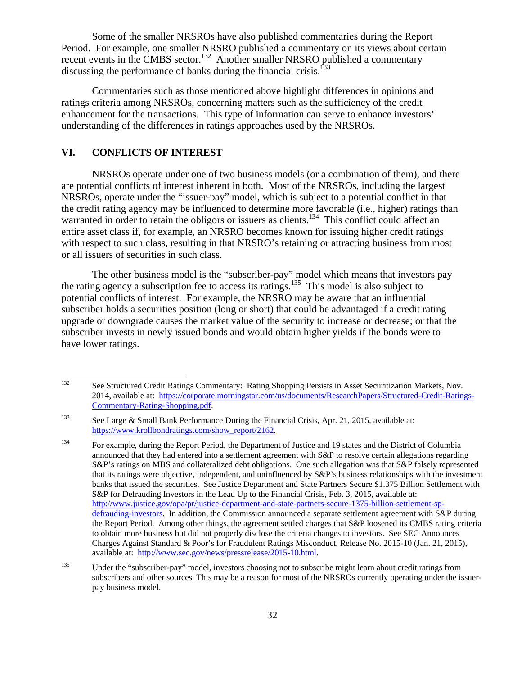Some of the smaller NRSROs have also published commentaries during the Report Period. For example, one smaller NRSRO published a commentary on its views about certain recent events in the CMBS sector.<sup>132</sup> Another smaller NRSRO published a commentary discussing the performance of banks during the financial crisis.<sup> $133$ </sup>

Commentaries such as those mentioned above highlight differences in opinions and ratings criteria among NRSROs, concerning matters such as the sufficiency of the credit enhancement for the transactions. This type of information can serve to enhance investors' understanding of the differences in ratings approaches used by the NRSROs.

#### **VI. CONFLICTS OF INTEREST**

 NRSROs operate under one of two business models (or a combination of them), and there are potential conflicts of interest inherent in both. Most of the NRSROs, including the largest NRSROs, operate under the "issuer-pay" model, which is subject to a potential conflict in that the credit rating agency may be influenced to determine more favorable (i.e., higher) ratings than warranted in order to retain the obligors or issuers as clients.<sup>134</sup> This conflict could affect an entire asset class if, for example, an NRSRO becomes known for issuing higher credit ratings with respect to such class, resulting in that NRSRO's retaining or attracting business from most or all issuers of securities in such class.

 The other business model is the "subscriber-pay" model which means that investors pay the rating agency a subscription fee to access its ratings.<sup>135</sup> This model is also subject to potential conflicts of interest. For example, the NRSRO may be aware that an influential subscriber holds a securities position (long or short) that could be advantaged if a credit rating upgrade or downgrade causes the market value of the security to increase or decrease; or that the subscriber invests in newly issued bonds and would obtain higher yields if the bonds were to have lower ratings.

<sup>132</sup> 132 See Structured Credit Ratings Commentary: Rating Shopping Persists in Asset Securitization Markets, Nov. 2014, available at: https://corporate.morningstar.com/us/documents/ResearchPapers/Structured-Credit-Ratings-Commentary-Rating-Shopping.pdf.

<sup>&</sup>lt;sup>133</sup> See Large & Small Bank Performance During the Financial Crisis, Apr. 21, 2015, available at: https://www.krollbondratings.com/show\_report/2162.

<sup>&</sup>lt;sup>134</sup> For example, during the Report Period, the Department of Justice and 19 states and the District of Columbia announced that they had entered into a settlement agreement with S&P to resolve certain allegations regarding S&P's ratings on MBS and collateralized debt obligations. One such allegation was that S&P falsely represented that its ratings were objective, independent, and uninfluenced by S&P's business relationships with the investment banks that issued the securities. See Justice Department and State Partners Secure \$1.375 Billion Settlement with S&P for Defrauding Investors in the Lead Up to the Financial Crisis, Feb. 3, 2015, available at: http://www.justice.gov/opa/pr/justice-department-and-state-partners-secure-1375-billion-settlement-spdefrauding-investors. In addition, the Commission announced a separate settlement agreement with S&P during the Report Period. Among other things, the agreement settled charges that S&P loosened its CMBS rating criteria to obtain more business but did not properly disclose the criteria changes to investors. See SEC Announces Charges Against Standard & Poor's for Fraudulent Ratings Misconduct, Release No. 2015-10 (Jan. 21, 2015), available at: http://www.sec.gov/news/pressrelease/2015-10.html.

<sup>&</sup>lt;sup>135</sup> Under the "subscriber-pay" model, investors choosing not to subscribe might learn about credit ratings from subscribers and other sources. This may be a reason for most of the NRSROs currently operating under the issuerpay business model.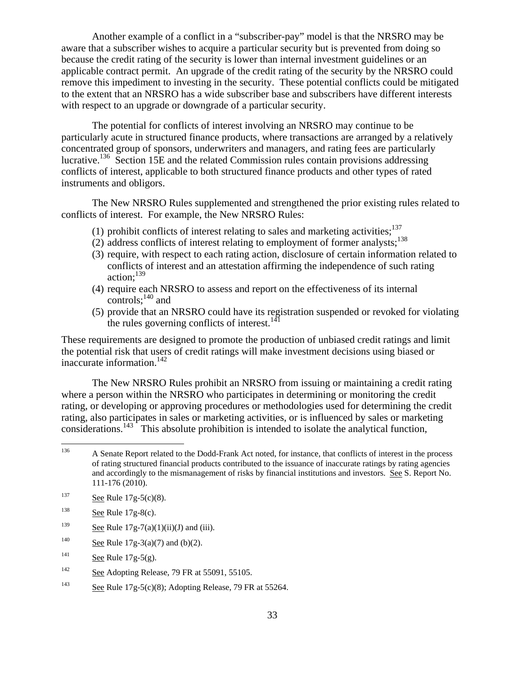Another example of a conflict in a "subscriber-pay" model is that the NRSRO may be aware that a subscriber wishes to acquire a particular security but is prevented from doing so because the credit rating of the security is lower than internal investment guidelines or an applicable contract permit. An upgrade of the credit rating of the security by the NRSRO could remove this impediment to investing in the security. These potential conflicts could be mitigated to the extent that an NRSRO has a wide subscriber base and subscribers have different interests with respect to an upgrade or downgrade of a particular security.

The potential for conflicts of interest involving an NRSRO may continue to be particularly acute in structured finance products, where transactions are arranged by a relatively concentrated group of sponsors, underwriters and managers, and rating fees are particularly lucrative.136 Section 15E and the related Commission rules contain provisions addressing conflicts of interest, applicable to both structured finance products and other types of rated instruments and obligors.

 The New NRSRO Rules supplemented and strengthened the prior existing rules related to conflicts of interest. For example, the New NRSRO Rules:

- (1) prohibit conflicts of interest relating to sales and marketing activities: $137$
- (2) address conflicts of interest relating to employment of former analysts; $138$
- (3) require, with respect to each rating action, disclosure of certain information related to conflicts of interest and an attestation affirming the independence of such rating action: $139$
- (4) require each NRSRO to assess and report on the effectiveness of its internal controls; $^{140}$  and
- (5) provide that an NRSRO could have its registration suspended or revoked for violating the rules governing conflicts of interest. $141$

These requirements are designed to promote the production of unbiased credit ratings and limit the potential risk that users of credit ratings will make investment decisions using biased or inaccurate information. $142$ 

 The New NRSRO Rules prohibit an NRSRO from issuing or maintaining a credit rating where a person within the NRSRO who participates in determining or monitoring the credit rating, or developing or approving procedures or methodologies used for determining the credit rating, also participates in sales or marketing activities, or is influenced by sales or marketing considerations.<sup>143</sup> This absolute prohibition is intended to isolate the analytical function,

- <sup>138</sup> See Rule  $17g-8(c)$ .
- <sup>139</sup> See Rule  $17g-7(a)(1)(ii)(J)$  and (iii).
- <sup>140</sup> See Rule  $17g-3(a)(7)$  and (b)(2).
- <sup>141</sup> See Rule 17g-5(g).
- $\frac{142}{2}$  See Adopting Release, 79 FR at 55091, 55105.
- <sup>143</sup> See Rule 17g-5(c)(8); Adopting Release, 79 FR at 55264.

<sup>136</sup> 136 A Senate Report related to the Dodd-Frank Act noted, for instance, that conflicts of interest in the process of rating structured financial products contributed to the issuance of inaccurate ratings by rating agencies and accordingly to the mismanagement of risks by financial institutions and investors. See S. Report No. 111-176 (2010).

<sup>137</sup> See Rule  $17g-5(c)(8)$ .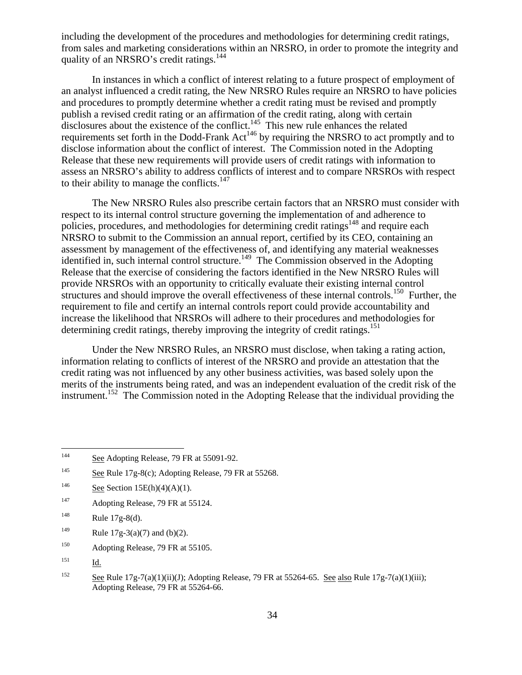including the development of the procedures and methodologies for determining credit ratings, from sales and marketing considerations within an NRSRO, in order to promote the integrity and quality of an NRSRO's credit ratings.<sup>144</sup>

 In instances in which a conflict of interest relating to a future prospect of employment of an analyst influenced a credit rating, the New NRSRO Rules require an NRSRO to have policies and procedures to promptly determine whether a credit rating must be revised and promptly publish a revised credit rating or an affirmation of the credit rating, along with certain disclosures about the existence of the conflict.<sup>145</sup> This new rule enhances the related requirements set forth in the Dodd-Frank Act<sup>146</sup> by requiring the NRSRO to act promptly and to disclose information about the conflict of interest. The Commission noted in the Adopting Release that these new requirements will provide users of credit ratings with information to assess an NRSRO's ability to address conflicts of interest and to compare NRSROs with respect to their ability to manage the conflicts. $147$ 

 The New NRSRO Rules also prescribe certain factors that an NRSRO must consider with respect to its internal control structure governing the implementation of and adherence to policies, procedures, and methodologies for determining credit ratings<sup>148</sup> and require each NRSRO to submit to the Commission an annual report, certified by its CEO, containing an assessment by management of the effectiveness of, and identifying any material weaknesses identified in, such internal control structure.<sup>149</sup> The Commission observed in the Adopting Release that the exercise of considering the factors identified in the New NRSRO Rules will provide NRSROs with an opportunity to critically evaluate their existing internal control structures and should improve the overall effectiveness of these internal controls.<sup>150</sup> Further, the requirement to file and certify an internal controls report could provide accountability and increase the likelihood that NRSROs will adhere to their procedures and methodologies for determining credit ratings, thereby improving the integrity of credit ratings.<sup>151</sup>

 Under the New NRSRO Rules, an NRSRO must disclose, when taking a rating action, information relating to conflicts of interest of the NRSRO and provide an attestation that the credit rating was not influenced by any other business activities, was based solely upon the merits of the instruments being rated, and was an independent evaluation of the credit risk of the instrument.<sup>152</sup> The Commission noted in the Adopting Release that the individual providing the

<sup>147</sup> Adopting Release, 79 FR at 55124.

- <sup>149</sup> Rule 17g-3(a)(7) and (b)(2).
- <sup>150</sup> Adopting Release, 79 FR at 55105.

<sup>144</sup> See Adopting Release, 79 FR at 55091-92.

<sup>&</sup>lt;sup>145</sup> See Rule 17g-8(c); Adopting Release, 79 FR at 55268.

<sup>&</sup>lt;sup>146</sup> See Section 15E(h)(4)(A)(1).

<sup>&</sup>lt;sup>148</sup> Rule  $17g-8(d)$ .

<sup>151</sup> Id.

<sup>&</sup>lt;sup>152</sup> See Rule 17g-7(a)(1)(ii)(J); Adopting Release, 79 FR at 55264-65. See also Rule 17g-7(a)(1)(iii); Adopting Release, 79 FR at 55264-66.